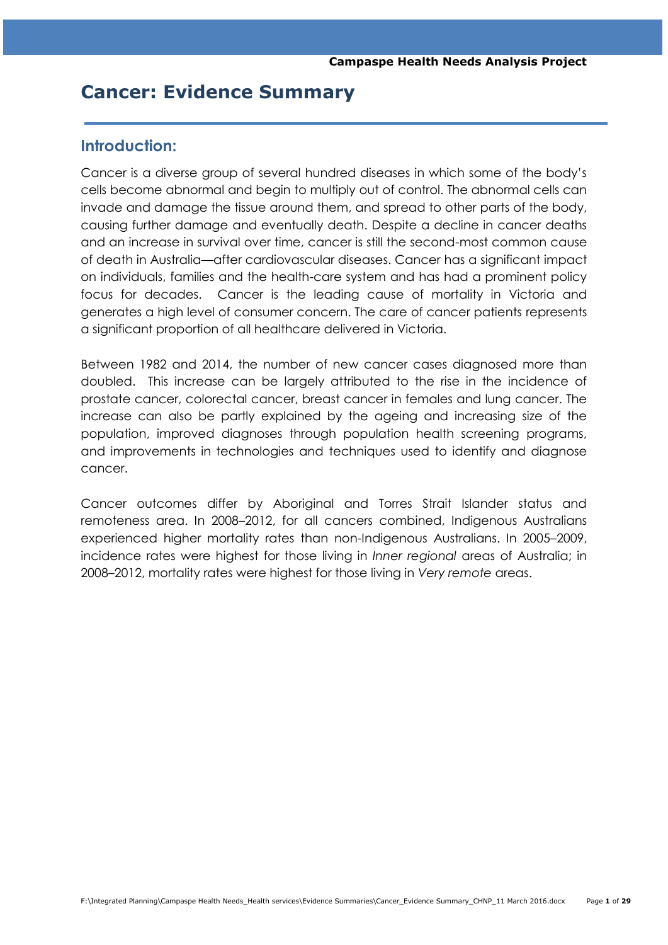# **Cancer: Evidence Summary**

# **Introduction:**

Cancer is a diverse group of several hundred diseases in which some of the body's cells become abnormal and begin to multiply out of control. The abnormal cells can invade and damage the tissue around them, and spread to other parts of the body, causing further damage and eventually death. Despite a decline in cancer deaths and an increase in survival over time, cancer is still the second-most common cause of death in Australia—after cardiovascular diseases. Cancer has a significant impact on individuals, families and the health-care system and has had a prominent policy focus for decades. Cancer is the leading cause of mortality in Victoria and generates a high level of consumer concern. The care of cancer patients represents a significant proportion of all healthcare delivered in Victoria.

Between 1982 and 2014, the number of new cancer cases diagnosed more than doubled. This increase can be largely attributed to the rise in the incidence of prostate cancer, colorectal cancer, breast cancer in females and lung cancer. The increase can also be partly explained by the ageing and increasing size of the population, improved diagnoses through population health screening programs, and improvements in technologies and techniques used to identify and diagnose cancer.

Cancer outcomes differ by Aboriginal and Torres Strait Islander status and remoteness area. In 2008–2012, for all cancers combined, Indigenous Australians experienced higher mortality rates than non-Indigenous Australians. In 2005–2009, incidence rates were highest for those living in *Inner regional* areas of Australia; in 2008–2012, mortality rates were highest for those living in *Very remote* areas.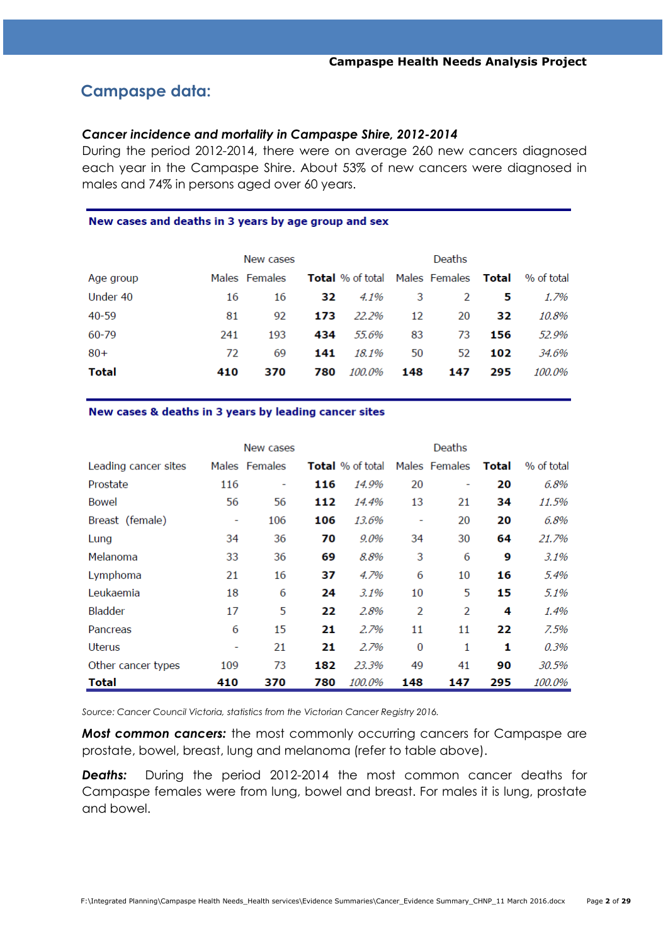# **Campaspe data:**

#### *Cancer incidence and mortality in Campaspe Shire, 2012-2014*

During the period 2012-2014, there were on average 260 new cancers diagnosed each year in the Campaspe Shire. About 53% of new cancers were diagnosed in males and 74% in persons aged over 60 years.

#### New cases and deaths in 3 years by age group and sex

|              |     | New cases     |     |                                                    |     | Deaths |     |            |
|--------------|-----|---------------|-----|----------------------------------------------------|-----|--------|-----|------------|
| Age group    |     | Males Females |     | <b>Total</b> % of total Males Females <b>Total</b> |     |        |     | % of total |
| Under 40     | 16  | 16            | 32. | 4.1%                                               | 3   | 2      | 5   | 1.7%       |
| 40-59        | 81  | 92            | 173 | 22.2%                                              | 12  | 20     | 32  | 10.8%      |
| 60-79        | 241 | 193           | 434 | 55.6%                                              | 83  | 73     | 156 | 52.9%      |
| $80+$        | 72  | 69            | 141 | 18.1%                                              | 50  | 52     | 102 | 34.6%      |
| <b>Total</b> | 410 | 370           | 780 | 100.0%                                             | 148 | 147    | 295 | 100.0%     |

New cases & deaths in 3 years by leading cancer sites

|                      |     | New cases     |     |                         |          | Deaths        |       |            |
|----------------------|-----|---------------|-----|-------------------------|----------|---------------|-------|------------|
| Leading cancer sites |     | Males Females |     | <b>Total</b> % of total |          | Males Females | Total | % of total |
| Prostate             | 116 | ۰             | 116 | 14.9%                   | 20       | ۰             | 20    | 6.8%       |
| Bowel                | 56  | 56            | 112 | 14.4%                   | 13       | 21            | 34    | 11.5%      |
| Breast (female)      | ۰   | 106           | 106 | 13.6%                   | ۰        | 20            | 20    | 6.8%       |
| Lung                 | 34  | 36            | 70  | 9.0%                    | 34       | 30            | 64    | 21.7%      |
| Melanoma             | 33  | 36            | 69  | 8.8%                    | 3        | 6             | 9     | 3.1%       |
| Lymphoma             | 21  | 16            | 37  | 4.7%                    | 6        | 10            | 16    | 5.4%       |
| Leukaemia            | 18  | 6             | 24  | $3.1\%$                 | 10       | 5             | 15    | 5.1%       |
| Bladder              | 17  | 5             | 22  | 2.8%                    | 2        | 2             | 4     | 1.4%       |
| Pancreas             | 6   | 15            | 21  | 2.7%                    | 11       | 11            | 22    | 7.5%       |
| Uterus               | ۰   | 21            | 21  | 2.7%                    | $\bf{0}$ | 1             | 1     | 0.3%       |
| Other cancer types   | 109 | 73            | 182 | 23.3%                   | 49       | 41            | 90    | 30.5%      |
| Total                | 410 | 370           | 780 | 100.0%                  | 148      | 147           | 295   | 100.0%     |

*Source: Cancer Council Victoria, statistics from the Victorian Cancer Registry 2016.*

*Most common cancers:* the most commonly occurring cancers for Campaspe are prostate, bowel, breast, lung and melanoma (refer to table above).

*Deaths:* During the period 2012-2014 the most common cancer deaths for Campaspe females were from lung, bowel and breast. For males it is lung, prostate and bowel.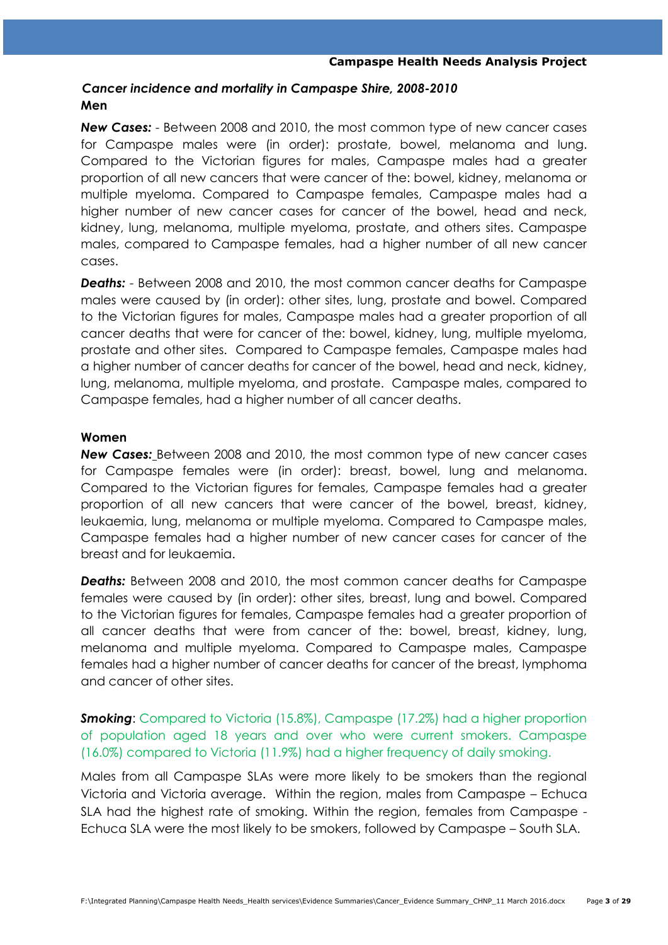# *Cancer incidence and mortality in Campaspe Shire, 2008-2010* **Men**

*New Cases:* - Between 2008 and 2010, the most common type of new cancer cases for Campaspe males were (in order): prostate, bowel, melanoma and lung. Compared to the Victorian figures for males, Campaspe males had a greater proportion of all new cancers that were cancer of the: bowel, kidney, melanoma or multiple myeloma. Compared to Campaspe females, Campaspe males had a higher number of new cancer cases for cancer of the bowel, head and neck, kidney, lung, melanoma, multiple myeloma, prostate, and others sites. Campaspe males, compared to Campaspe females, had a higher number of all new cancer cases.

*Deaths:* - Between 2008 and 2010, the most common cancer deaths for Campaspe males were caused by (in order): other sites, lung, prostate and bowel. Compared to the Victorian figures for males, Campaspe males had a greater proportion of all cancer deaths that were for cancer of the: bowel, kidney, lung, multiple myeloma, prostate and other sites. Compared to Campaspe females, Campaspe males had a higher number of cancer deaths for cancer of the bowel, head and neck, kidney, lung, melanoma, multiple myeloma, and prostate. Campaspe males, compared to Campaspe females, had a higher number of all cancer deaths.

### **Women**

*New Cases:* Between 2008 and 2010, the most common type of new cancer cases for Campaspe females were (in order): breast, bowel, lung and melanoma. Compared to the Victorian figures for females, Campaspe females had a greater proportion of all new cancers that were cancer of the bowel, breast, kidney, leukaemia, lung, melanoma or multiple myeloma. Compared to Campaspe males, Campaspe females had a higher number of new cancer cases for cancer of the breast and for leukaemia.

*Deaths:* Between 2008 and 2010, the most common cancer deaths for Campaspe females were caused by (in order): other sites, breast, lung and bowel. Compared to the Victorian figures for females, Campaspe females had a greater proportion of all cancer deaths that were from cancer of the: bowel, breast, kidney, lung, melanoma and multiple myeloma. Compared to Campaspe males, Campaspe females had a higher number of cancer deaths for cancer of the breast, lymphoma and cancer of other sites.

# **Smoking:** Compared to Victoria (15.8%), Campaspe (17.2%) had a higher proportion of population aged 18 years and over who were current smokers. Campaspe (16.0%) compared to Victoria (11.9%) had a higher frequency of daily smoking.

Males from all Campaspe SLAs were more likely to be smokers than the regional Victoria and Victoria average. Within the region, males from Campaspe – Echuca SLA had the highest rate of smoking. Within the region, females from Campaspe - Echuca SLA were the most likely to be smokers, followed by Campaspe – South SLA.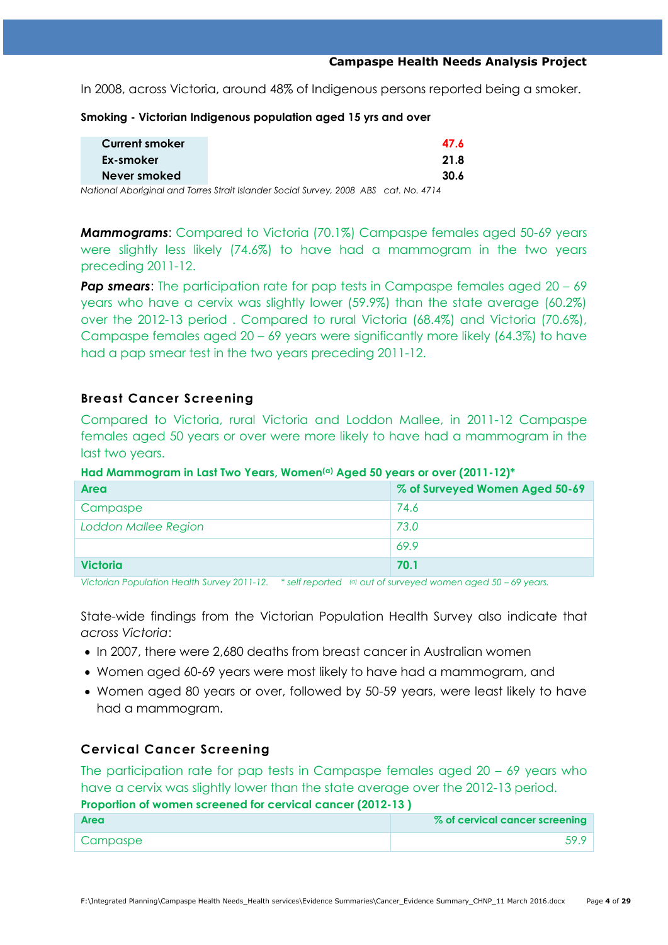In 2008, across Victoria, around 48% of Indigenous persons reported being a smoker.

| <b>Current smoker</b> |                                                                                                         | 47.6 |
|-----------------------|---------------------------------------------------------------------------------------------------------|------|
| Ex-smoker             |                                                                                                         | 21.8 |
| Never smoked          |                                                                                                         | 30.6 |
|                       | Aladiana al Alemania al anche Tanna e Aladi Island de l'Arcada (Alemania - AAAA - ADA) e la LALE - 1714 |      |

**Smoking - Victorian Indigenous population aged 15 yrs and over**

*National Aboriginal and Torres Strait Islander Social Survey, 2008 ABS cat. No. 4714*

*Mammograms*: Compared to Victoria (70.1%) Campaspe females aged 50-69 years were slightly less likely (74.6%) to have had a mammogram in the two years preceding 2011-12.

**Pap smears:** The participation rate for pap tests in Campaspe females aged 20 – 69 years who have a cervix was slightly lower (59.9%) than the state average (60.2%) over the 2012-13 period . Compared to rural Victoria (68.4%) and Victoria (70.6%), Campaspe females aged 20 – 69 years were significantly more likely (64.3%) to have had a pap smear test in the two years preceding 2011-12.

# **Breast Cancer Screening**

Compared to Victoria, rural Victoria and Loddon Mallee, in 2011-12 Campaspe females aged 50 years or over were more likely to have had a mammogram in the last two years.

### **Had Mammogram in Last Two Years, Women(a) Aged 50 years or over (2011-12)\***

| Area                        | % of Surveyed Women Aged 50-69 |
|-----------------------------|--------------------------------|
| Campaspe                    | 74.6                           |
| <b>Loddon Mallee Region</b> | 73.0                           |
|                             | 69.9                           |
| <b>Victoria</b>             | 70.1                           |

*Victorian Population Health Survey 2011-12. \* self reported (a) out of surveyed women aged 50 – 69 years.*

State-wide findings from the Victorian Population Health Survey also indicate that *across Victoria*:

- In 2007, there were 2,680 deaths from breast cancer in Australian women
- Women aged 60-69 years were most likely to have had a mammogram, and
- Women aged 80 years or over, followed by 50-59 years, were least likely to have had a mammogram.

# **Cervical Cancer Screening**

The participation rate for pap tests in Campaspe females aged  $20 - 69$  years who have a cervix was slightly lower than the state average over the 2012-13 period. **Proportion of women screened for cervical cancer (2012-13 )**

| <b>Area</b> | % of cervical cancer screening |
|-------------|--------------------------------|
| Campaspe    |                                |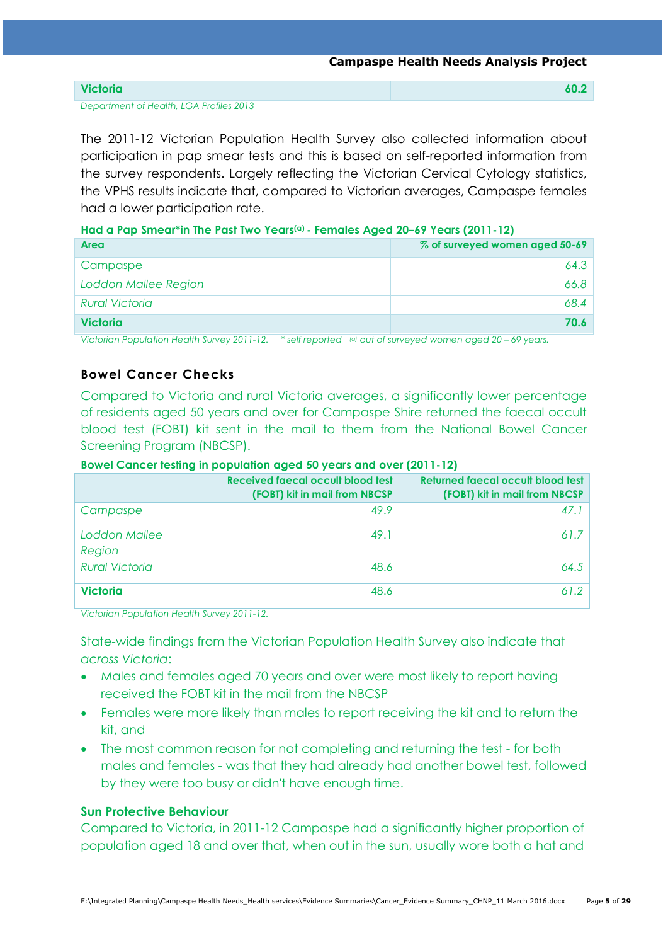| <b>Victoria</b> |
|-----------------|
|-----------------|

*Department of Health, LGA Profiles 2013*

The 2011-12 Victorian Population Health Survey also collected information about participation in pap smear tests and this is based on self-reported information from the survey respondents. Largely reflecting the Victorian Cervical Cytology statistics, the VPHS results indicate that, compared to Victorian averages, Campaspe females had a lower participation rate.

### **Had a Pap Smear\*in The Past Two Years(a) - Females Aged 20–69 Years (2011-12)**

| Area                        | % of surveyed women aged 50-69 |
|-----------------------------|--------------------------------|
| Campaspe                    | 64.3                           |
| <b>Loddon Mallee Region</b> | 66.8                           |
| <b>Rural Victoria</b>       | 68.4                           |
| <b>Victoria</b>             | 70.6                           |

*Victorian Population Health Survey 2011-12. \* self reported (a) out of surveyed women aged 20 – 69 years.*

# **Bowel Cancer Checks**

Compared to Victoria and rural Victoria averages, a significantly lower percentage of residents aged 50 years and over for Campaspe Shire returned the faecal occult blood test (FOBT) kit sent in the mail to them from the National Bowel Cancer Screening Program (NBCSP).

### **Bowel Cancer testing in population aged 50 years and over (2011-12)**

|                         | Received faecal occult blood test<br>(FOBT) kit in mail from NBCSP | Returned faecal occult blood test<br>(FOBT) kit in mail from NBCSP |
|-------------------------|--------------------------------------------------------------------|--------------------------------------------------------------------|
| Campaspe                | 49.9                                                               | 47.1                                                               |
| Loddon Mallee<br>Region | 49.1                                                               | 61.7                                                               |
| <b>Rural Victoria</b>   | 48.6                                                               | 64.5                                                               |
| <b>Victoria</b>         | 48.6                                                               | 61.2                                                               |

*Victorian Population Health Survey 2011-12.*

State-wide findings from the Victorian Population Health Survey also indicate that *across Victoria*:

- Males and females aged 70 years and over were most likely to report having received the FOBT kit in the mail from the NBCSP
- Females were more likely than males to report receiving the kit and to return the kit, and
- The most common reason for not completing and returning the test for both males and females - was that they had already had another bowel test, followed by they were too busy or didn't have enough time.

### **Sun Protective Behaviour**

Compared to Victoria, in 2011-12 Campaspe had a significantly higher proportion of population aged 18 and over that, when out in the sun, usually wore both a hat and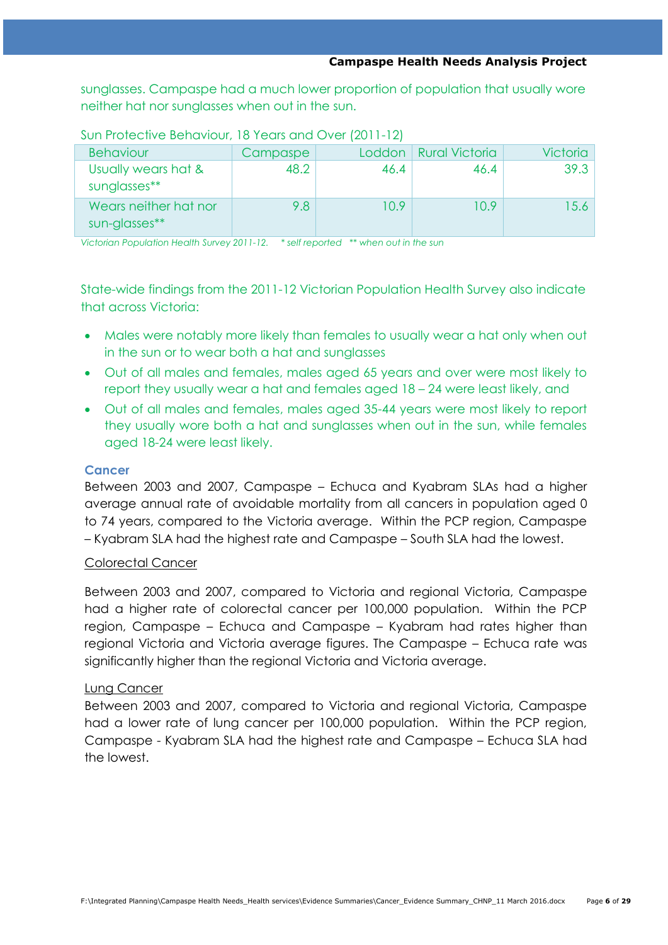sunglasses. Campaspe had a much lower proportion of population that usually wore neither hat nor sunglasses when out in the sun.

| <b>Behaviour</b>                       | Campaspe | Loddon | <b>Rural Victoria</b> | <b>Victoria</b> |
|----------------------------------------|----------|--------|-----------------------|-----------------|
| Usually wears hat &<br>sunglasses**    | 48.2     | 46.4   | 46.4                  | 39.3            |
| Wears neither hat nor<br>sun-glasses** | 9.8      | 10.9   | 10.9                  | 15.6            |

Sun Protective Behaviour, 18 Years and Over (2011-12)

*Victorian Population Health Survey 2011-12. \* self reported \*\* when out in the sun*

State-wide findings from the 2011-12 Victorian Population Health Survey also indicate that across Victoria:

- Males were notably more likely than females to usually wear a hat only when out in the sun or to wear both a hat and sunglasses
- Out of all males and females, males aged 65 years and over were most likely to report they usually wear a hat and females aged 18 – 24 were least likely, and
- Out of all males and females, males aged 35-44 years were most likely to report they usually wore both a hat and sunglasses when out in the sun, while females aged 18-24 were least likely.

# **Cancer**

Between 2003 and 2007, Campaspe – Echuca and Kyabram SLAs had a higher average annual rate of avoidable mortality from all cancers in population aged 0 to 74 years, compared to the Victoria average. Within the PCP region, Campaspe – Kyabram SLA had the highest rate and Campaspe – South SLA had the lowest.

# Colorectal Cancer

Between 2003 and 2007, compared to Victoria and regional Victoria, Campaspe had a higher rate of colorectal cancer per 100,000 population. Within the PCP region, Campaspe – Echuca and Campaspe – Kyabram had rates higher than regional Victoria and Victoria average figures. The Campaspe – Echuca rate was significantly higher than the regional Victoria and Victoria average.

# Lung Cancer

Between 2003 and 2007, compared to Victoria and regional Victoria, Campaspe had a lower rate of lung cancer per 100,000 population. Within the PCP region, Campaspe - Kyabram SLA had the highest rate and Campaspe – Echuca SLA had the lowest.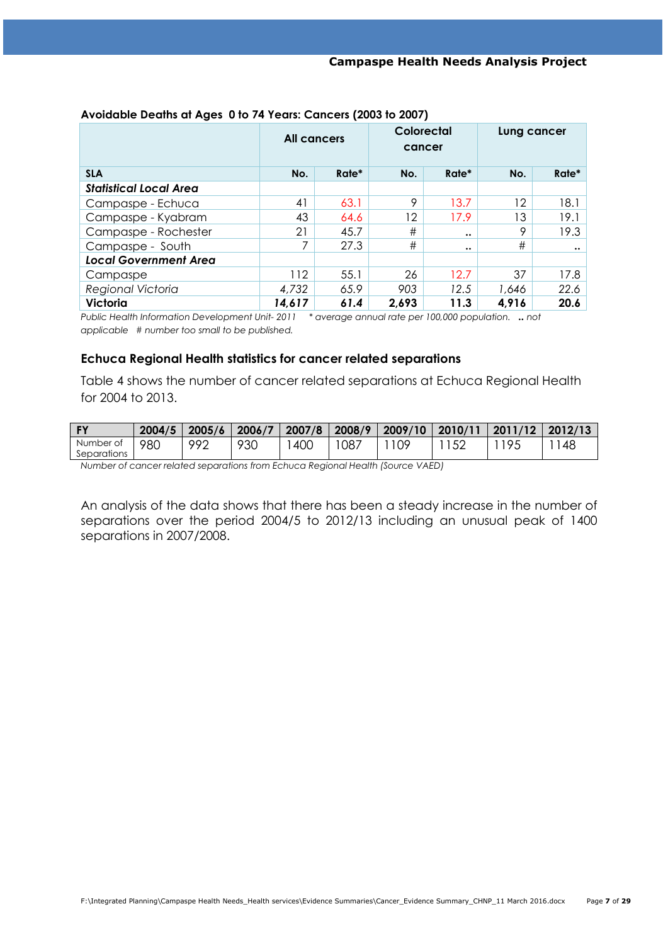|                               | <b>All cancers</b> |       | Colorectal<br>cancer |                  | Lung cancer |                  |
|-------------------------------|--------------------|-------|----------------------|------------------|-------------|------------------|
| <b>SLA</b>                    | No.                | Rate* | No.                  | Rate*            | No.         | Rate*            |
| <b>Statistical Local Area</b> |                    |       |                      |                  |             |                  |
| Campaspe - Echuca             | 41                 | 63.1  | 9                    | 13.7             | 12          | 18.1             |
| Campaspe - Kyabram            | 43                 | 64.6  | 12                   | 17.9             | 13          | 19.1             |
| Campaspe - Rochester          | 21                 | 45.7  | #                    | $\bullet\bullet$ | 9           | 19.3             |
| Campaspe - South              | 7                  | 27.3  | #                    | $\bullet\bullet$ | #           | $\bullet\bullet$ |
| <b>Local Government Area</b>  |                    |       |                      |                  |             |                  |
| Campaspe                      | 112                | 55.1  | 26                   | 12.7             | 37          | 17.8             |
| Regional Victoria             | 4,732              | 65.9  | 903                  | 12.5             | 1.646       | 22.6             |
| <b>Victoria</b>               | 14,617             | 61.4  | 2,693                | 11.3             | 4,916       | 20.6             |

### **Avoidable Deaths at Ages 0 to 74 Years: Cancers (2003 to 2007)**

*Public Health Information Development Unit- 2011 \* average annual rate per 100,000 population. .. not applicable # number too small to be published.*

### **Echuca Regional Health statistics for cancer related separations**

Table 4 shows the number of cancer related separations at Echuca Regional Health for 2004 to 2013.

| PV.         | 2004/5 | 2005/6   | 2006/7 | 2007/8 | 2008/9 | 2009/10 | 2010/11 | 2011/12 | 2012/13 |
|-------------|--------|----------|--------|--------|--------|---------|---------|---------|---------|
| Number of   | 980    | ൦൦൨<br>- | 930    | 400    | 087    | ΩQ      |         | J,      | 48      |
| Separations |        |          |        |        |        |         |         |         |         |

*Number of cancer related separations from Echuca Regional Health (Source VAED)*

An analysis of the data shows that there has been a steady increase in the number of separations over the period 2004/5 to 2012/13 including an unusual peak of 1400 separations in 2007/2008.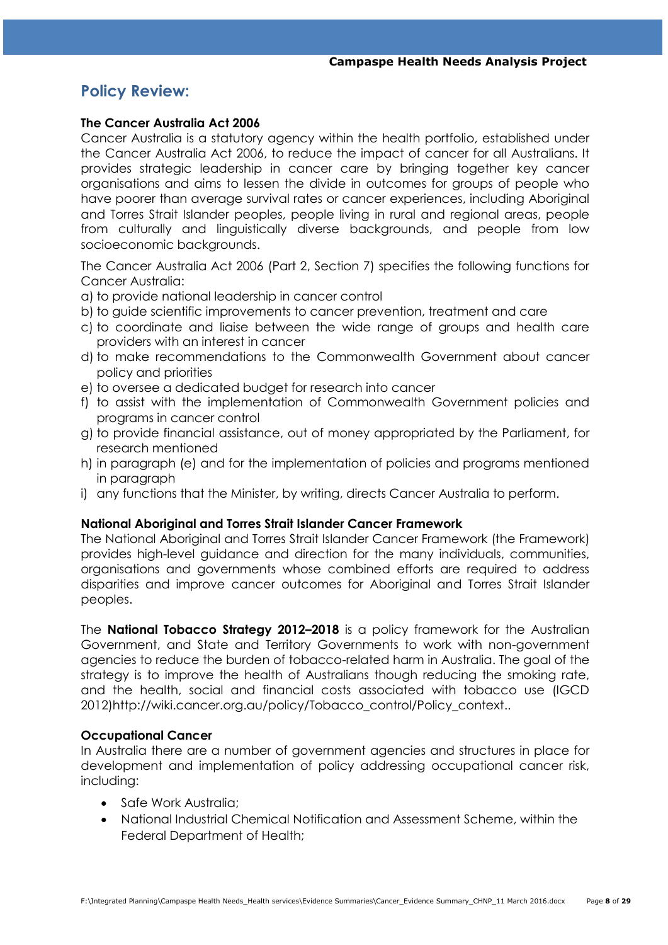# **Policy Review:**

### **The Cancer Australia Act 2006**

Cancer Australia is a statutory agency within the health portfolio, established under the Cancer Australia Act 2006, to reduce the impact of cancer for all Australians. It provides strategic leadership in cancer care by bringing together key cancer organisations and aims to lessen the divide in outcomes for groups of people who have poorer than average survival rates or cancer experiences, including Aboriginal and Torres Strait Islander peoples, people living in rural and regional areas, people from culturally and linguistically diverse backgrounds, and people from low socioeconomic backgrounds.

The Cancer Australia Act 2006 (Part 2, Section 7) specifies the following functions for Cancer Australia:

- a) to provide national leadership in cancer control
- b) to guide scientific improvements to cancer prevention, treatment and care
- c) to coordinate and liaise between the wide range of groups and health care providers with an interest in cancer
- d) to make recommendations to the Commonwealth Government about cancer policy and priorities
- e) to oversee a dedicated budget for research into cancer
- f) to assist with the implementation of Commonwealth Government policies and programs in cancer control
- g) to provide financial assistance, out of money appropriated by the Parliament, for research mentioned
- h) in paragraph (e) and for the implementation of policies and programs mentioned in paragraph
- i) any functions that the Minister, by writing, directs Cancer Australia to perform.

### **[National Aboriginal and Torres Strait Islander Cancer Framework](https://canceraustralia.gov.au/publications-and-resources/cancer-australia-publications/national-aboriginal-and-torres-strait-islander-cancer-framework)**

The National Aboriginal and Torres Strait Islander Cancer Framework (the Framework) provides high-level guidance and direction for the many individuals, communities, organisations and governments whose combined efforts are required to address disparities and improve cancer outcomes for Aboriginal and Torres Strait Islander peoples.

The **[National Tobacco Strategy 2012](http://www.nationaldrugstrategy.gov.au/internet/drugstrategy/publishing.nsf/Content/D4E3727950BDBAE4CA257AE70003730C/$File/National%20Tobacco%20Strategy%202012-2018.pdf)–2018** is a policy framework for the Australian Government, and State and Territory Governments to work with non-government agencies to reduce the burden of tobacco-related harm in Australia. The goal of the strategy is to improve the health of Australians though reducing the smoking rate, and the health, social and financial costs associated with tobacco use (IGCD 2012)http://wiki.cancer.org.au/policy/Tobacco\_control/Policy\_context..

# **Occupational Cancer**

In Australia there are a number of government agencies and structures in place for development and implementation of policy addressing occupational cancer risk, including:

- Safe Work Australia:
- National Industrial Chemical Notification and Assessment Scheme, within the Federal Department of Health;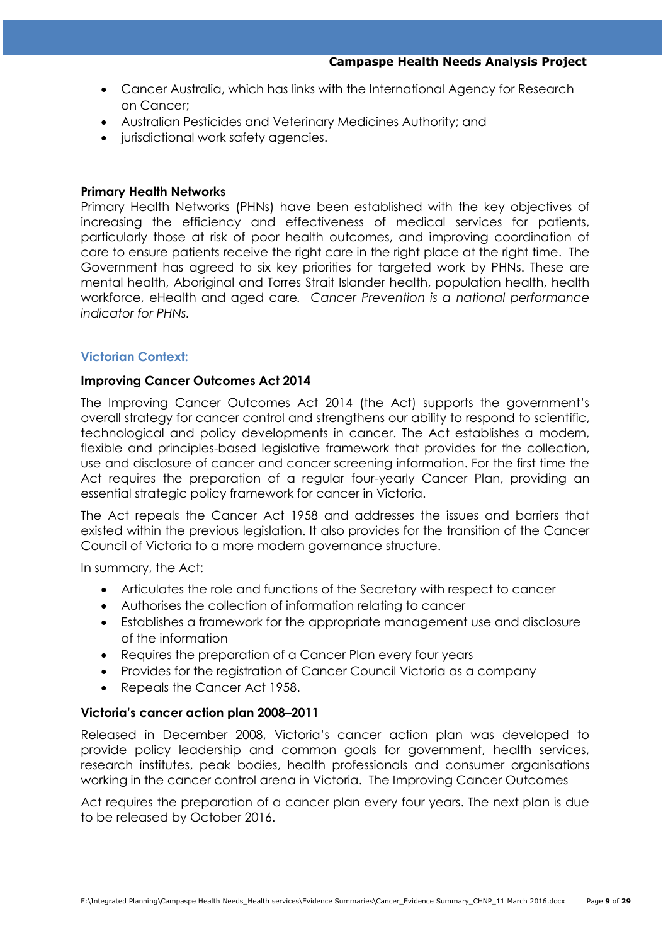- Cancer Australia, which has links with the International Agency for Research on Cancer;
- Australian Pesticides and Veterinary Medicines Authority; and
- jurisdictional work safety agencies.

#### **Primary Health Networks**

Primary Health Networks (PHNs) have been established with the key objectives of increasing the efficiency and effectiveness of medical services for patients, particularly those at risk of poor health outcomes, and improving coordination of care to ensure patients receive the right care in the right place at the right time. The Government has agreed to six key priorities for targeted work by PHNs. These are mental health, Aboriginal and Torres Strait Islander health, population health, health workforce, eHealth and aged care*. Cancer Prevention is a national performance indicator for PHNs.*

### **Victorian Context:**

#### **Improving Cancer Outcomes Act 2014**

The Improving Cancer Outcomes Act 2014 (the Act) supports the government's overall strategy for cancer control and strengthens our ability to respond to scientific, technological and policy developments in cancer. The Act establishes a modern, flexible and principles-based legislative framework that provides for the collection, use and disclosure of cancer and cancer screening information. For the first time the Act requires the preparation of a regular four-yearly Cancer Plan, providing an essential strategic policy framework for cancer in Victoria.

The Act repeals the Cancer Act 1958 and addresses the issues and barriers that existed within the previous legislation. It also provides for the transition of the Cancer Council of Victoria to a more modern governance structure.

In summary, the Act:

- Articulates the role and functions of the Secretary with respect to cancer
- Authorises the collection of information relating to cancer
- Establishes a framework for the appropriate management use and disclosure of the information
- Requires the preparation of a Cancer Plan every four years
- Provides for the registration of Cancer Council Victoria as a company
- Repeals the Cancer Act 1958.

### **Victoria's cancer action plan 2008–2011**

Released in December 2008, Victoria's cancer action plan was developed to provide policy leadership and common goals for government, health services, research institutes, peak bodies, health professionals and consumer organisations working in the cancer control arena in Victoria. The Improving Cancer Outcomes

Act requires the preparation of a cancer plan every four years. The next plan is due to be released by October 2016.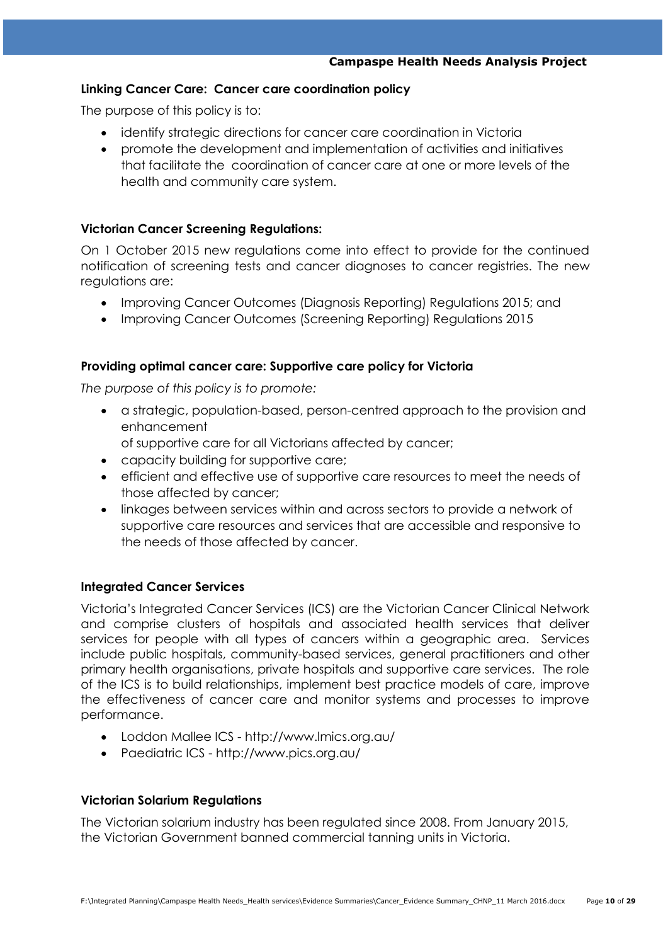# **Linking Cancer Care: Cancer care coordination policy**

The purpose of this policy is to:

- identify strategic directions for cancer care coordination in Victoria
- promote the development and implementation of activities and initiatives that facilitate the coordination of cancer care at one or more levels of the health and community care system.

### **Victorian Cancer Screening Regulations:**

On 1 October 2015 new regulations come into effect to provide for the continued notification of screening tests and cancer diagnoses to cancer registries. The new regulations are:

- Improving Cancer Outcomes (Diagnosis Reporting) Regulations 2015; and
- Improving Cancer Outcomes (Screening Reporting) Regulations 2015

### **Providing optimal cancer care: Supportive care policy for Victoria**

*The purpose of this policy is to promote:*

- a strategic, population-based, person-centred approach to the provision and enhancement
	- of supportive care for all Victorians affected by cancer;
- capacity building for supportive care;
- efficient and effective use of supportive care resources to meet the needs of those affected by cancer;
- linkages between services within and across sectors to provide a network of supportive care resources and services that are accessible and responsive to the needs of those affected by cancer.

### **Integrated Cancer Services**

Victoria's Integrated Cancer Services (ICS) are the Victorian Cancer Clinical Network and comprise clusters of hospitals and associated health services that deliver services for people with all types of cancers within a geographic area. Services include public hospitals, community-based services, general practitioners and other primary health organisations, private hospitals and supportive care services. The role of the ICS is to build relationships, implement best practice models of care, improve the effectiveness of cancer care and monitor systems and processes to improve performance.

- Loddon Mallee ICS <http://www.lmics.org.au/>
- Paediatric ICS <http://www.pics.org.au/>

### **Victorian Solarium Regulations**

The Victorian solarium industry has been regulated since 2008. From January 2015, the Victorian Government banned commercial tanning units in Victoria.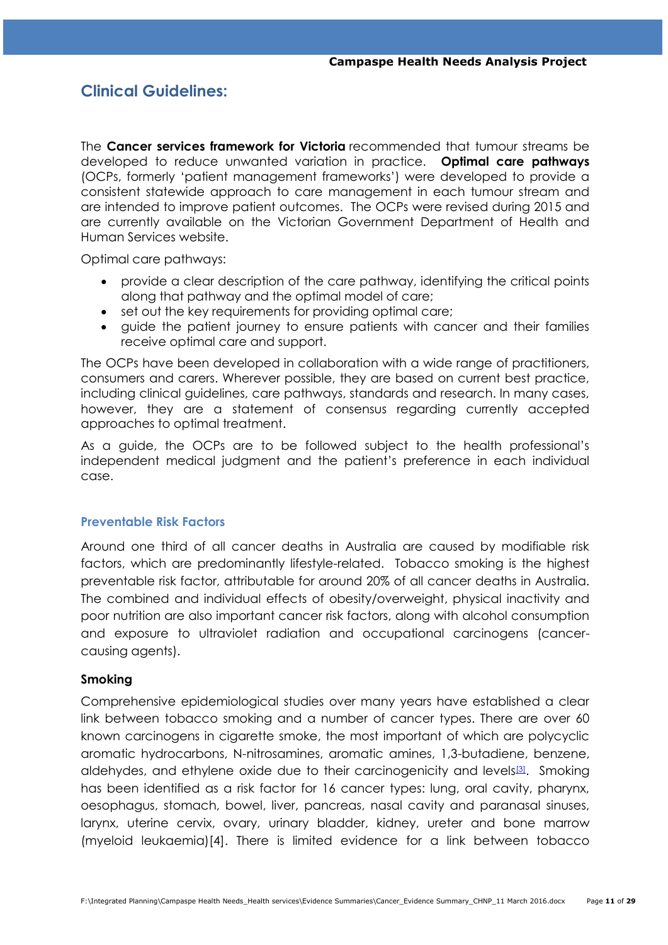# **Clinical Guidelines:**

The **[Cancer services framework for Victoria](https://www2.health.vic.gov.au/about/health-strategies/cancer-care/cancer-services-framework/optimal-care-pathways)** recommended that tumour streams be developed to reduce unwanted variation in practice. **Optimal care pathways** (OCPs, formerly ‗patient management frameworks') were developed to provide a consistent statewide approach to care management in each tumour stream and are intended to improve patient outcomes. The OCPs were revised during 2015 and are currently available on the Victorian Government Department of Health and Human Services website.

Optimal care pathways:

- provide a clear description of the care pathway, identifying the critical points along that pathway and the optimal model of care;
- set out the key requirements for providing optimal care;
- guide the patient journey to ensure patients with cancer and their families receive optimal care and support.

The OCPs have been developed in collaboration with a wide range of practitioners, consumers and carers. Wherever possible, they are based on current best practice, including clinical guidelines, care pathways, standards and research. In many cases, however, they are a statement of consensus regarding currently accepted approaches to optimal treatment.

As a guide, the OCPs are to be followed subject to the health professional's independent medical judgment and the patient's preference in each individual case.

# **Preventable Risk Factors**

Around one third of all cancer deaths in Australia are caused by modifiable risk factors, which are predominantly lifestyle-related. Tobacco smoking is the highest preventable risk factor, attributable for around 20% of all cancer deaths in Australia. The combined and individual effects of obesity/overweight, physical inactivity and poor nutrition are also important cancer risk factors, along with alcohol consumption and exposure to ultraviolet radiation and occupational carcinogens (cancercausing agents).

### **Smoking**

Comprehensive epidemiological studies over many years have established a clear link between tobacco smoking and a number of cancer types. There are over 60 known carcinogens in cigarette smoke, the most important of which are polycyclic aromatic hydrocarbons, N-nitrosamines, aromatic amines, 1,3-butadiene, benzene, aldehydes, and ethylene oxide due to their carcinogenicity and levels<sup>[\[3\]](http://wiki.cancer.org.au/policy/Tobacco_control/Link_between_smoking_and_cancer#cite_note-Citation:US_Department_of_Health_and_Human_Services_2010-3)</sup>. Smoking has been identified as a risk factor for 16 cancer types: lung, oral cavity, pharynx, oesophagus, stomach, bowel, liver, pancreas, nasal cavity and paranasal sinuses, larynx, uterine cervix, ovary, urinary bladder, kidney, ureter and bone marrow (myeloid leukaemia[\)\[4\].](http://wiki.cancer.org.au/policy/Tobacco_control/Link_between_smoking_and_cancer#cite_note-Citation:International_Agency_for_Research_on_Cancer_2012-4) There is limited evidence for a link between tobacco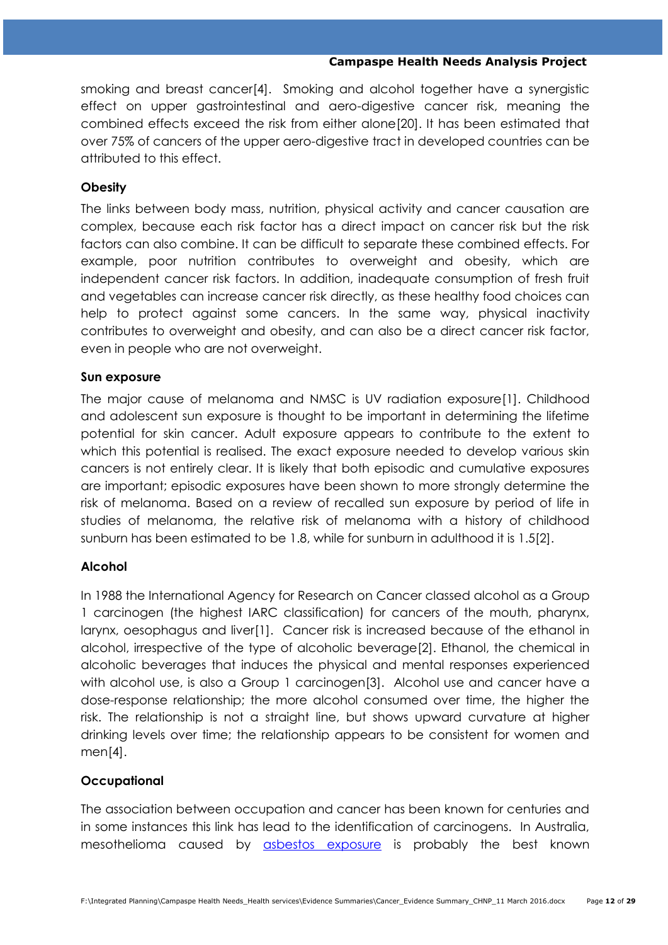smoking and breast cance[r\[4\].](http://wiki.cancer.org.au/policy/Tobacco_control/Link_between_smoking_and_cancer#cite_note-Citation:International_Agency_for_Research_on_Cancer_2012-4) Smoking and alcohol together have a synergistic effect on upper gastrointestinal and aero-digestive cancer risk, meaning the combined effects exceed the risk from either alon[e\[20\].](http://wiki.cancer.org.au/policy/Tobacco_control/Link_between_smoking_and_cancer#cite_note-Citation:Doll_R.2C_Forman_D.2C_La_Vecchia_C.2C_Wouterson_R_1999-20) It has been estimated that over 75% of cancers of the upper aero-digestive tract in developed countries can be attributed to this effect.

# **Obesity**

The links between body mass, nutrition, physical activity and cancer causation are complex, because each risk factor has a direct impact on cancer risk but the risk factors can also combine. It can be difficult to separate these combined effects. For example, poor nutrition contributes to overweight and obesity, which are independent cancer risk factors. In addition, inadequate consumption of fresh fruit and vegetables can increase cancer risk directly, as these healthy food choices can help to protect against some cancers. In the same way, physical inactivity contributes to overweight and obesity, and can also be a direct cancer risk factor, even in people who are not overweight.

# **Sun exposure**

The major cause of melanoma and NMSC is UV radiation exposur[e\[1\].](http://wiki.cancer.org.au/policy/UV/Link_between_UV_and_cancer#cite_note-Citation:Hill_D.2C_Elwood_JM.2C_English_DR_2004-1) Childhood and adolescent sun exposure is thought to be important in determining the lifetime potential for skin cancer. Adult exposure appears to contribute to the extent to which this potential is realised. The exact exposure needed to develop various skin cancers is not entirely clear. It is likely that both episodic and cumulative exposures are important; episodic exposures have been shown to more strongly determine the risk of melanoma. Based on a review of recalled sun exposure by period of life in studies of melanoma, the relative risk of melanoma with a history of childhood sunburn has been estimated to be 1.8, while for sunburn in adulthood it is 1.[5\[2\].](http://wiki.cancer.org.au/policy/UV/Link_between_UV_and_cancer#cite_note-Citation:Whiteman_DC.2C_Whiteman_CA.2C_Green_AC_2001-2)

# **Alcohol**

In 1988 the International Agency for Research on Cancer classed alcohol as a [Group](http://wiki.cancer.org.au/policy/IARC_classifications#Group_1)  [1](http://wiki.cancer.org.au/policy/IARC_classifications#Group_1) carcinogen (the highest IARC classification) for cancers of the mouth, pharynx, larynx, oesophagus and live[r\[1\].](http://wiki.cancer.org.au/policy/Alcohol/Link_between_alcohol_and_cancer#cite_note-Citation:International_Agency_for_Research_on_Cancer_1998-1) Cancer risk is increased because of the ethanol in alcohol, irrespective of the type of alcoholic beverag[e\[2\].](http://wiki.cancer.org.au/policy/Alcohol/Link_between_alcohol_and_cancer#cite_note-Citation:World_Cancer_Research_Fund.2C_American_Institute_for_Cancer_Research_2007_2-2) Ethanol, the chemical in alcoholic beverages that induces the physical and mental responses experienced with alcohol use, is also a [Group 1](http://wiki.cancer.org.au/policy/IARC_classifications#Group_1) carcinoge[n\[3\].](http://wiki.cancer.org.au/policy/Alcohol/Link_between_alcohol_and_cancer#cite_note-Citation:International_Agency_for_Research_on_Cancer_2010-3) Alcohol use and cancer have a dose-response relationship; the more alcohol consumed over time, the higher the risk. The relationship is not a straight line, but shows upward curvature at higher drinking levels over time; the relationship appears to be consistent for women and me[n\[4\].](http://wiki.cancer.org.au/policy/Alcohol/Link_between_alcohol_and_cancer#cite_note-Citation:Edwards_G.2C_Anderson_P.2C_Babor_T.2C_et_al_1995-4)

# **Occupational**

The association between occupation and cancer has been known for centuries and in some instances this link has lead to the identification of carcinogens. In Australia, mesothelioma caused by [asbestos exposure](http://wiki.cancer.org.au/policy/Occupational_cancers/Link_between_occupation_and_cancer#Asbestos) is probably the best known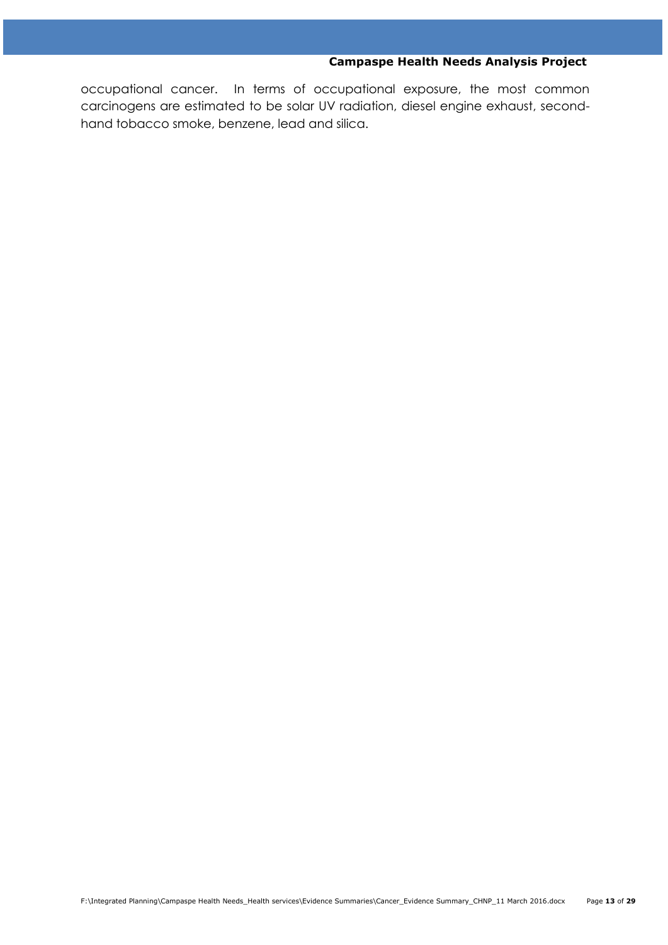occupational cancer. In terms of occupational exposure, the most common carcinogens are estimated to be solar UV radiation, diesel engine exhaust, secondhand tobacco smoke, benzene, lead and silica.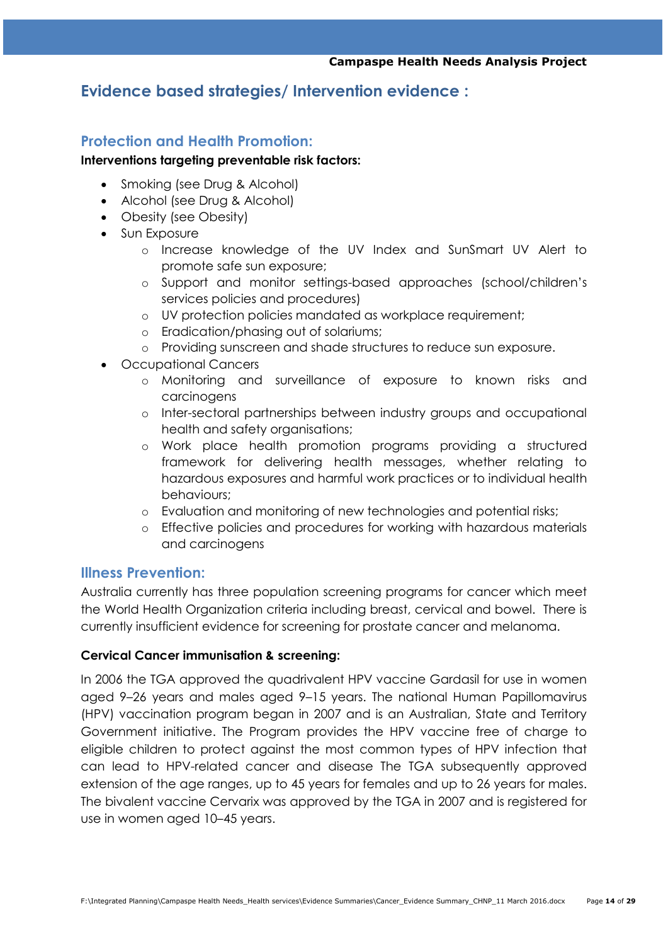# **Evidence based strategies/ Intervention evidence :**

# **Protection and Health Promotion:**

### **Interventions targeting preventable risk factors:**

- Smoking (see Drug & Alcohol)
- Alcohol (see Drug & Alcohol)
- Obesity (see Obesity)
- Sun Exposure
	- o Increase knowledge of the UV Index and SunSmart UV Alert to promote safe sun exposure;
	- o Support and monitor settings-based approaches (school/children's services policies and procedures)
	- o UV protection policies mandated as workplace requirement;
	- o Eradication/phasing out of solariums;
	- o Providing sunscreen and shade structures to reduce sun exposure.
- Occupational Cancers
	- o Monitoring and surveillance of exposure to known risks and carcinogens
	- o Inter-sectoral partnerships between industry groups and occupational health and safety organisations;
	- o Work place health promotion programs providing a structured framework for delivering health messages, whether relating to hazardous exposures and harmful work practices or to individual health behaviours;
	- o Evaluation and monitoring of new technologies and potential risks;
	- o Effective policies and procedures for working with hazardous materials and carcinogens

# **Illness Prevention:**

Australia currently has three population screening programs for cancer which meet the World Health Organization criteria including breast, cervical and bowel. There is currently insufficient evidence for screening for prostate cancer and melanoma.

# **Cervical Cancer immunisation & screening:**

In 2006 the TGA approved the quadrivalent HPV vaccine Gardasil for use in women aged 9–26 years and males aged 9–15 years. The national Human Papillomavirus (HPV) vaccination program began in 2007 and is an Australian, State and Territory Government initiative. The Program provides the HPV vaccine free of charge to eligible children to protect against the most common types of HPV infection that can lead to HPV-related cancer and disease The TGA subsequently approved extension of the age ranges, up to 45 years for females and up to 26 years for males. The bivalent vaccine Cervarix was approved by the TGA in 2007 and is registered for use in women aged 10–45 years.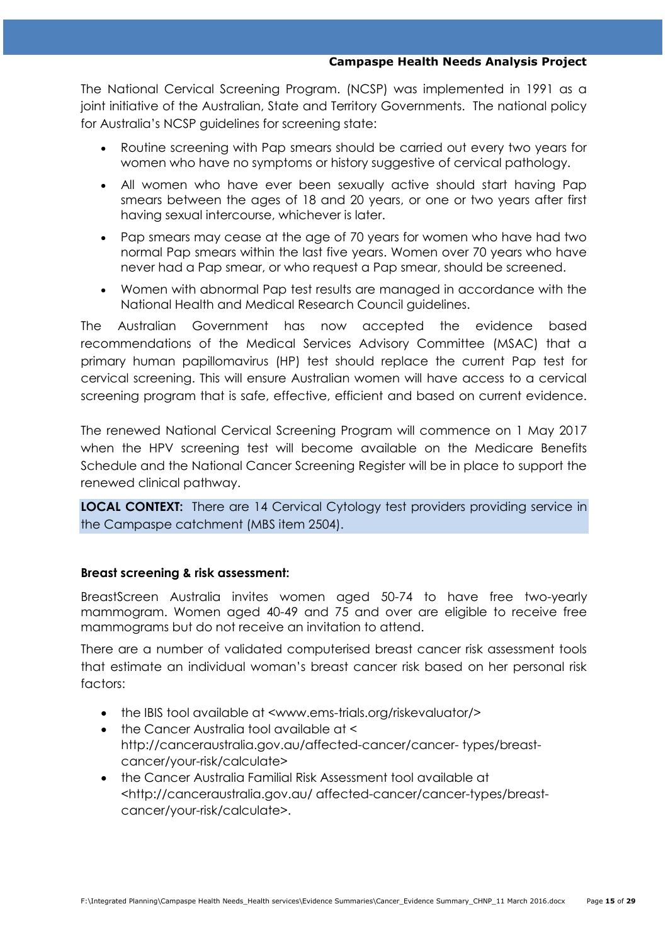The National Cervical Screening Program. (NCSP) was implemented in 1991 as a joint initiative of the Australian, State and Territory Governments. The national policy for Australia's NCSP guidelines for screening state:

- Routine screening with Pap smears should be carried out every two years for women who have no symptoms or history suggestive of cervical pathology.
- All women who have ever been sexually active should start having Pap smears between the ages of 18 and 20 years, or one or two years after first having sexual intercourse, whichever is later.
- Pap smears may cease at the age of 70 years for women who have had two normal Pap smears within the last five years. Women over 70 years who have never had a Pap smear, or who request a Pap smear, should be screened.
- Women with abnormal Pap test results are managed in accordance with the National Health and Medical Research Council guidelines.

The Australian Government has now accepted the evidence based recommendations of the Medical Services Advisory Committee (MSAC) that a primary human papillomavirus (HP) test should replace the current Pap test for cervical screening. This will ensure Australian women will have access to a cervical screening program that is safe, effective, efficient and based on current evidence.

The renewed National Cervical Screening Program will commence on 1 May 2017 when the HPV screening test will become available on the Medicare Benefits Schedule and the National Cancer Screening Register will be in place to support the renewed clinical pathway.

**LOCAL CONTEXT:** There are 14 Cervical Cytology test providers providing service in the Campaspe catchment (MBS item 2504).

# **Breast screening & risk assessment:**

BreastScreen Australia invites women aged 50-74 to have free two-yearly mammogram. Women aged 40-49 and 75 and over are eligible to receive free mammograms but do not receive an invitation to attend.

There are a number of validated computerised breast cancer risk assessment tools that estimate an individual woman's breast cancer risk based on her personal risk factors:

- the IBIS tool available at <www.ems-trials.org/riskevaluator/>
- the Cancer Australia tool available at < http://canceraustralia.gov.au/affected-cancer/cancer- types/breastcancer/your-risk/calculate>
- the Cancer Australia Familial Risk Assessment tool available at <http://canceraustralia.gov.au/ affected-cancer/cancer-types/breastcancer/your-risk/calculate>.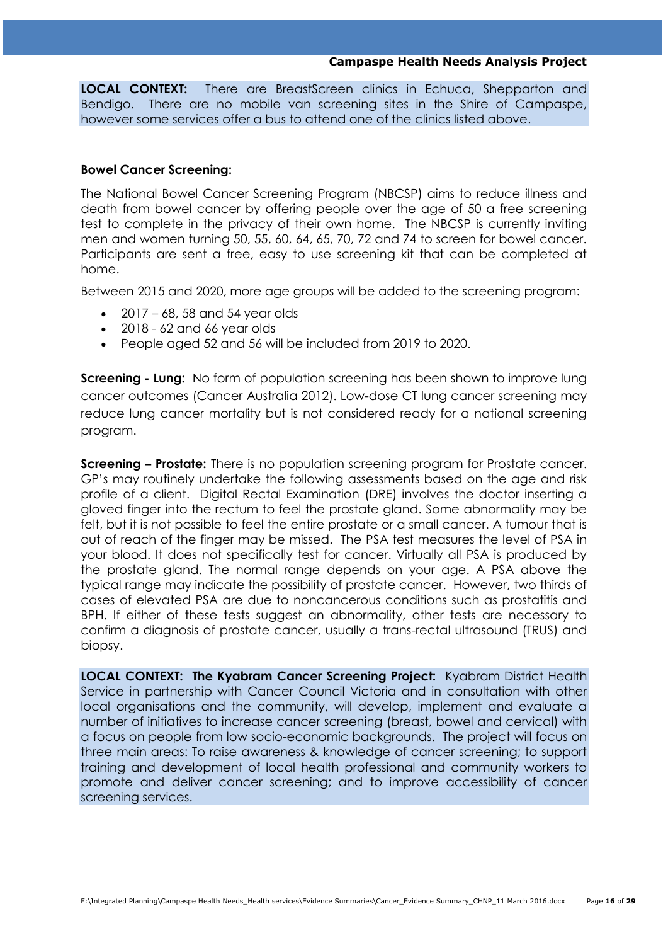**LOCAL CONTEXT:** There are BreastScreen clinics in Echuca, Shepparton and Bendigo. There are no mobile van screening sites in the Shire of Campaspe, however some services offer a bus to attend one of the clinics listed above.

### **Bowel Cancer Screening:**

The National Bowel Cancer Screening Program (NBCSP) aims to reduce illness and death from bowel cancer by offering people over the age of 50 a free screening test to complete in the privacy of their own home. The NBCSP is currently inviting men and women turning 50, 55, 60, 64, 65, 70, 72 and 74 to screen for bowel cancer. Participants are sent a free, easy to use screening kit that can be completed at home.

Between 2015 and 2020, more age groups will be added to the screening program:

- $\bullet$  2017 68, 58 and 54 year olds
- $\bullet$  2018 62 and 66 year olds
- People aged 52 and 56 will be included from 2019 to 2020.

**Screening - Lung:** No form of population screening has been shown to improve lung cancer outcomes (Cancer Australia 2012). Low-dose CT lung cancer screening may reduce lung cancer mortality but is not considered ready for a national screening program.

**Screening – Prostate:** There is no population screening program for Prostate cancer. GP's may routinely undertake the following assessments based on the age and risk profile of a client. Digital Rectal Examination (DRE) involves the doctor inserting a gloved finger into the rectum to feel the prostate gland. Some abnormality may be felt, but it is not possible to feel the entire prostate or a small cancer. A tumour that is out of reach of the finger may be missed. The PSA test measures the level of PSA in your blood. It does not specifically test for cancer. Virtually all PSA is produced by the prostate gland. The normal range depends on your age. A PSA above the typical range may indicate the possibility of prostate cancer. However, two thirds of cases of elevated PSA are due to noncancerous conditions such as prostatitis and BPH. If either of these tests suggest an abnormality, other tests are necessary to confirm a diagnosis of prostate cancer, usually a trans-rectal ultrasound (TRUS) and biopsy.

**LOCAL CONTEXT: The Kyabram Cancer Screening Project:** Kyabram District Health Service in partnership with Cancer Council Victoria and in consultation with other local organisations and the community, will develop, implement and evaluate a number of initiatives to increase cancer screening (breast, bowel and cervical) with a focus on people from low socio-economic backgrounds. The project will focus on three main areas: To raise awareness & knowledge of cancer screening; to support training and development of local health professional and community workers to promote and deliver cancer screening; and to improve accessibility of cancer screening services.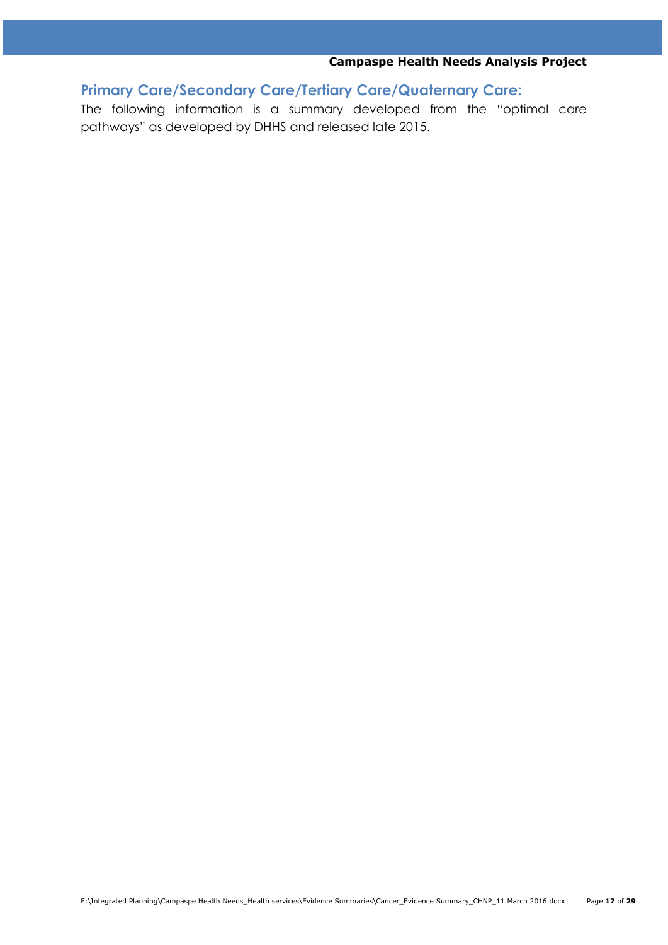**Primary Care/Secondary Care/Tertiary Care/Quaternary Care:**

The following information is a summary developed from the "optimal care pathways" as developed by DHHS and released late 2015.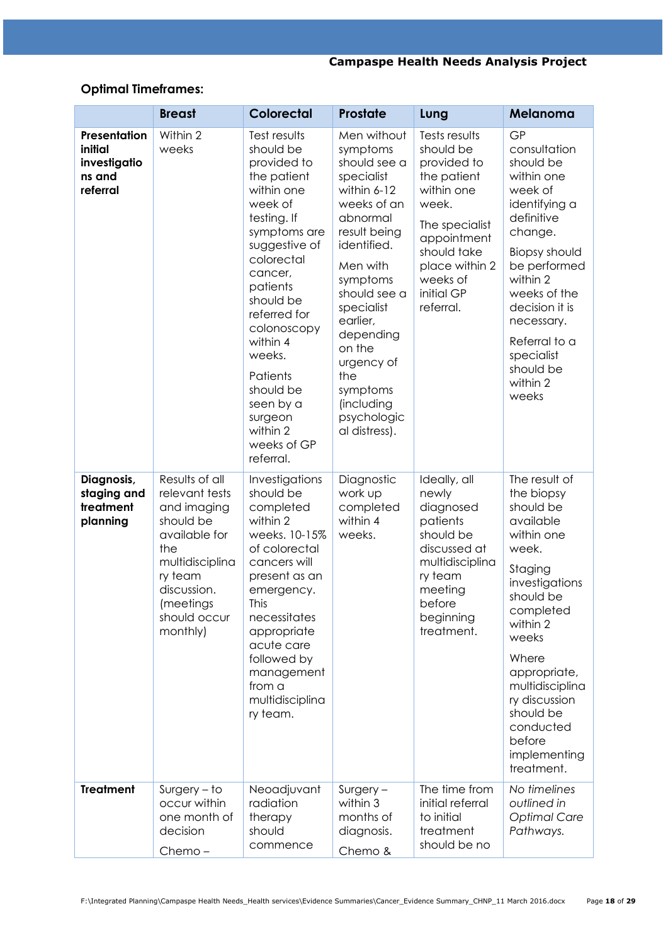# **Optimal Timeframes:**

|                                                               | <b>Breast</b>                                                                                                                                                              | <b>Colorectal</b>                                                                                                                                                                                                                                                                                                                | Prostate                                                                                                                                                                                                                                                                                               | Lung                                                                                                                                                                                     | Melanoma                                                                                                                                                                                                                                                                                |
|---------------------------------------------------------------|----------------------------------------------------------------------------------------------------------------------------------------------------------------------------|----------------------------------------------------------------------------------------------------------------------------------------------------------------------------------------------------------------------------------------------------------------------------------------------------------------------------------|--------------------------------------------------------------------------------------------------------------------------------------------------------------------------------------------------------------------------------------------------------------------------------------------------------|------------------------------------------------------------------------------------------------------------------------------------------------------------------------------------------|-----------------------------------------------------------------------------------------------------------------------------------------------------------------------------------------------------------------------------------------------------------------------------------------|
| Presentation<br>initial<br>investigatio<br>ns and<br>referral | Within 2<br>weeks                                                                                                                                                          | Test results<br>should be<br>provided to<br>the patient<br>within one<br>week of<br>testing. If<br>symptoms are<br>suggestive of<br>colorectal<br>cancer,<br>patients<br>should be<br>referred for<br>colonoscopy<br>within 4<br>weeks.<br>Patients<br>should be<br>seen by a<br>surgeon<br>within 2<br>weeks of GP<br>referral. | Men without<br>symptoms<br>should see a<br>specialist<br>within 6-12<br>weeks of an<br>abnormal<br>result being<br>identified.<br>Men with<br>symptoms<br>should see a<br>specialist<br>earlier,<br>depending<br>on the<br>urgency of<br>the<br>symptoms<br>(including<br>psychologic<br>al distress). | Tests results<br>should be<br>provided to<br>the patient<br>within one<br>week.<br>The specialist<br>appointment<br>should take<br>place within 2<br>weeks of<br>initial GP<br>referral. | GP<br>consultation<br>should be<br>within one<br>week of<br>identifying a<br>definitive<br>change.<br><b>Biopsy should</b><br>be performed<br>within 2<br>weeks of the<br>decision it is<br>necessary.<br>Referral to a<br>specialist<br>should be<br>within 2<br>weeks                 |
| Diagnosis,<br>staging and<br>treatment<br>planning            | Results of all<br>relevant tests<br>and imaging<br>should be<br>available for<br>the<br>multidisciplina<br>ry team<br>discussion.<br>(meetings<br>should occur<br>monthly) | Investigations<br>should be<br>completed<br>within 2<br>weeks. 10-15%<br>of colorectal<br>cancers will<br>present as an<br>emergency.<br>This<br>necessitates<br>appropriate<br>acute care<br>followed by<br>management<br>from a<br>multidisciplina<br>ry team.                                                                 | Diagnostic<br>work up<br>completed<br>within 4<br>weeks.                                                                                                                                                                                                                                               | Ideally, all<br>newly<br>diagnosed<br>patients<br>should be<br>discussed at<br>multidisciplina<br>ry team<br>meeting<br>before<br>beginning<br>treatment.                                | The result of<br>the biopsy<br>should be<br>available<br>within one<br>week.<br>Staging<br>investigations<br>should be<br>completed<br>within 2<br>weeks<br>Where<br>appropriate,<br>multidisciplina<br>ry discussion<br>should be<br>conducted<br>before<br>implementing<br>treatment. |
| <b>Treatment</b>                                              | $Surgery - to$<br>occur within<br>one month of<br>decision<br>Chemo-                                                                                                       | Neoadjuvant<br>radiation<br>therapy<br>should<br>commence                                                                                                                                                                                                                                                                        | $Surgery -$<br>within 3<br>months of<br>diagnosis.<br>Chemo &                                                                                                                                                                                                                                          | The time from<br>initial referral<br>to initial<br>treatment<br>should be no                                                                                                             | No timelines<br>outlined in<br><b>Optimal Care</b><br>Pathways.                                                                                                                                                                                                                         |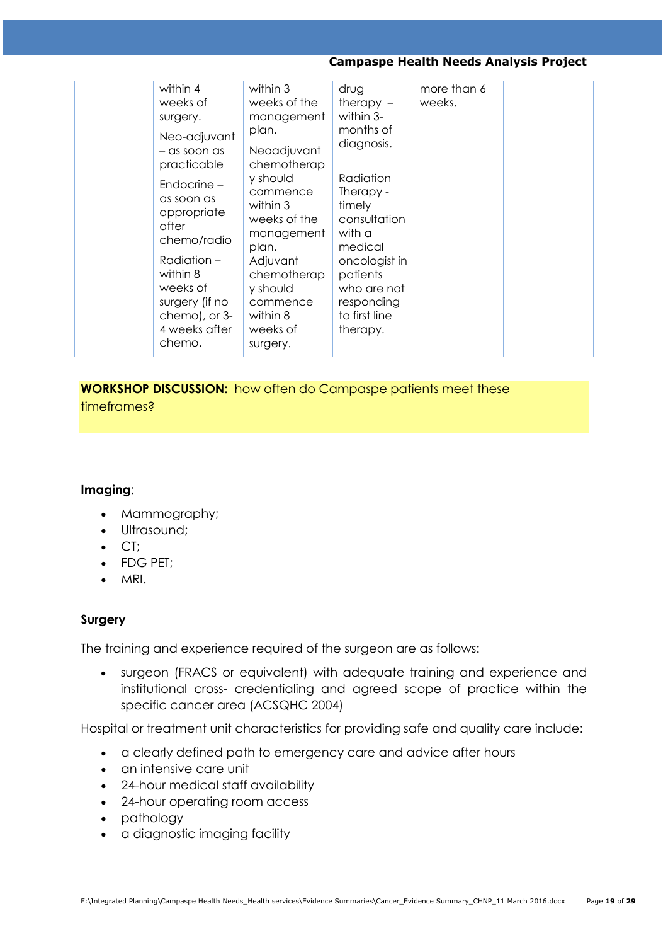| within 4<br>weeks of<br>surgery.<br>Neo-adjuvant<br>$-$ as soon as<br>practicable<br>Endocrine -<br>as soon as<br>appropriate<br>after<br>chemo/radio<br>Radiation-<br>within 8<br>weeks of<br>surgery (if no<br>chemo), or 3-<br>4 weeks after<br>chemo. | within 3<br>weeks of the<br>management<br>plan.<br>Neoadjuvant<br>chemotherap<br>y should<br>commence<br>within 3<br>weeks of the<br>management<br>plan.<br>Adjuvant<br>chemotherap<br>y should<br>commence<br>within 8<br>weeks of<br>surgery. | drug<br>therapy $-$<br>within 3-<br>months of<br>diagnosis.<br>Radiation<br>Therapy -<br>timely<br>consultation<br>with a<br>medical<br>oncologist in<br>patients<br>who are not<br>responding<br>to first line<br>therapy. | more than 6<br>weeks. |  |
|-----------------------------------------------------------------------------------------------------------------------------------------------------------------------------------------------------------------------------------------------------------|-------------------------------------------------------------------------------------------------------------------------------------------------------------------------------------------------------------------------------------------------|-----------------------------------------------------------------------------------------------------------------------------------------------------------------------------------------------------------------------------|-----------------------|--|
|-----------------------------------------------------------------------------------------------------------------------------------------------------------------------------------------------------------------------------------------------------------|-------------------------------------------------------------------------------------------------------------------------------------------------------------------------------------------------------------------------------------------------|-----------------------------------------------------------------------------------------------------------------------------------------------------------------------------------------------------------------------------|-----------------------|--|

**WORKSHOP DISCUSSION:** how often do Campaspe patients meet these

timeframes?

# **Imaging**:

- Mammography;
- Ultrasound:
- $\bullet$  CT:
- FDG PET;
- MRI.

# **Surgery**

The training and experience required of the surgeon are as follows:

 surgeon (FRACS or equivalent) with adequate training and experience and institutional cross- credentialing and agreed scope of practice within the specific cancer area (ACSQHC 2004)

Hospital or treatment unit characteristics for providing safe and quality care include:

- a clearly defined path to emergency care and advice after hours
- an intensive care unit
- 24-hour medical staff availability
- 24-hour operating room access
- pathology
- a diagnostic imaging facility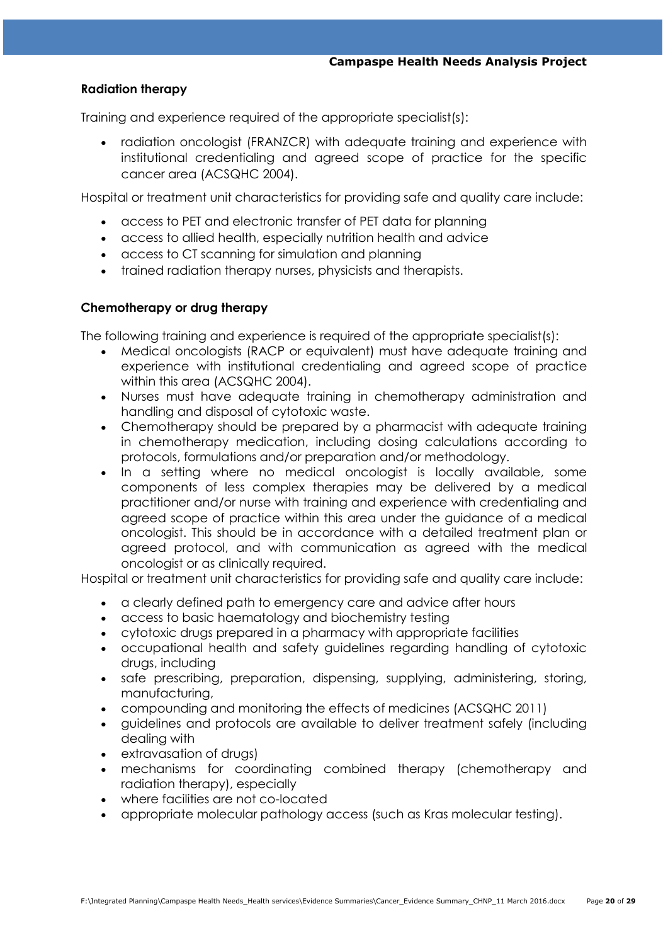### **Radiation therapy**

Training and experience required of the appropriate specialist(s):

 radiation oncologist (FRANZCR) with adequate training and experience with institutional credentialing and agreed scope of practice for the specific cancer area (ACSQHC 2004).

Hospital or treatment unit characteristics for providing safe and quality care include:

- access to PET and electronic transfer of PET data for planning
- access to allied health, especially nutrition health and advice
- access to CT scanning for simulation and planning
- trained radiation therapy nurses, physicists and therapists.

### **Chemotherapy or drug therapy**

The following training and experience is required of the appropriate specialist(s):

- Medical oncologists (RACP or equivalent) must have adequate training and experience with institutional credentialing and agreed scope of practice within this area (ACSQHC 2004).
- Nurses must have adequate training in chemotherapy administration and handling and disposal of cytotoxic waste.
- Chemotherapy should be prepared by a pharmacist with adequate training in chemotherapy medication, including dosing calculations according to protocols, formulations and/or preparation and/or methodology.
- In a setting where no medical oncologist is locally available, some components of less complex therapies may be delivered by a medical practitioner and/or nurse with training and experience with credentialing and agreed scope of practice within this area under the guidance of a medical oncologist. This should be in accordance with a detailed treatment plan or agreed protocol, and with communication as agreed with the medical oncologist or as clinically required.

Hospital or treatment unit characteristics for providing safe and quality care include:

- a clearly defined path to emergency care and advice after hours
- access to basic haematology and biochemistry testing
- cytotoxic drugs prepared in a pharmacy with appropriate facilities
- occupational health and safety guidelines regarding handling of cytotoxic drugs, including
- safe prescribing, preparation, dispensing, supplying, administering, storing, manufacturing,
- compounding and monitoring the effects of medicines (ACSQHC 2011)
- guidelines and protocols are available to deliver treatment safely (including dealing with
- extravasation of drugs)
- mechanisms for coordinating combined therapy (chemotherapy and radiation therapy), especially
- where facilities are not co-located
- appropriate molecular pathology access (such as Kras molecular testing).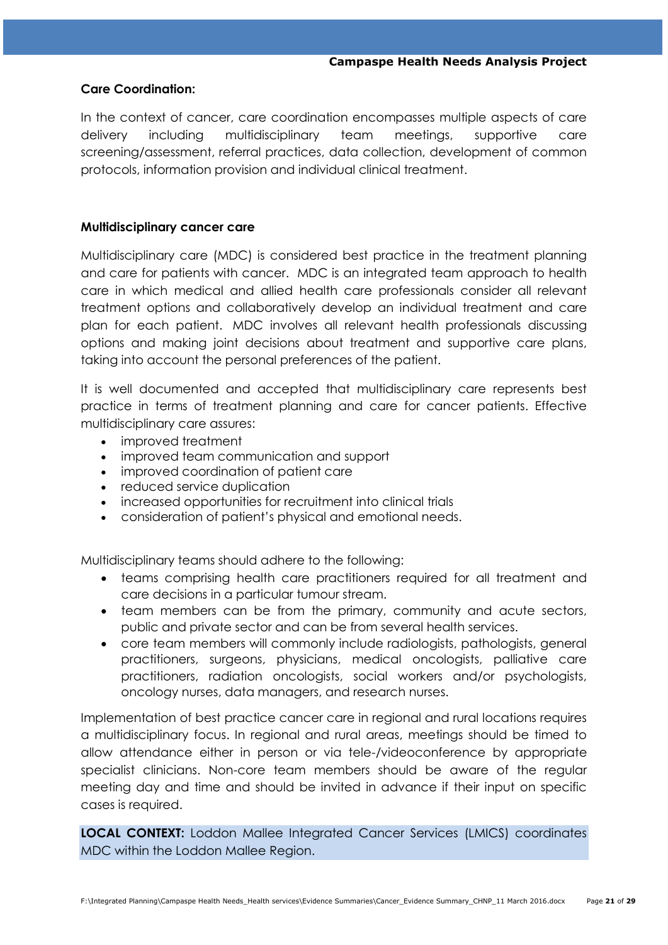### **Care Coordination:**

In the context of cancer, care coordination encompasses multiple aspects of care delivery including multidisciplinary team meetings, supportive care screening/assessment, referral practices, data collection, development of common protocols, information provision and individual clinical treatment.

### **Multidisciplinary cancer care**

Multidisciplinary care (MDC) is considered best practice in the treatment planning and care for patients with cancer. MDC is an integrated team approach to health care in which medical and allied health care professionals consider all relevant treatment options and collaboratively develop an individual treatment and care plan for each patient. MDC involves all relevant health professionals discussing options and making joint decisions about treatment and supportive care plans, taking into account the personal preferences of the patient.

It is well documented and accepted that multidisciplinary care represents best practice in terms of treatment planning and care for cancer patients. Effective multidisciplinary care assures:

- improved treatment
- improved team communication and support
- improved coordination of patient care
- reduced service duplication
- increased opportunities for recruitment into clinical trials
- consideration of patient's physical and emotional needs.

Multidisciplinary teams should adhere to the following:

- teams comprising health care practitioners required for all treatment and care decisions in a particular tumour stream.
- team members can be from the primary, community and acute sectors, public and private sector and can be from several health services.
- core team members will commonly include radiologists, pathologists, general practitioners, surgeons, physicians, medical oncologists, palliative care practitioners, radiation oncologists, social workers and/or psychologists, oncology nurses, data managers, and research nurses.

Implementation of best practice cancer care in regional and rural locations requires a multidisciplinary focus. In regional and rural areas, meetings should be timed to allow attendance either in person or via tele-/videoconference by appropriate specialist clinicians. Non-core team members should be aware of the regular meeting day and time and should be invited in advance if their input on specific cases is required.

**LOCAL CONTEXT:** Loddon Mallee Integrated Cancer Services (LMICS) coordinates MDC within the Loddon Mallee Region.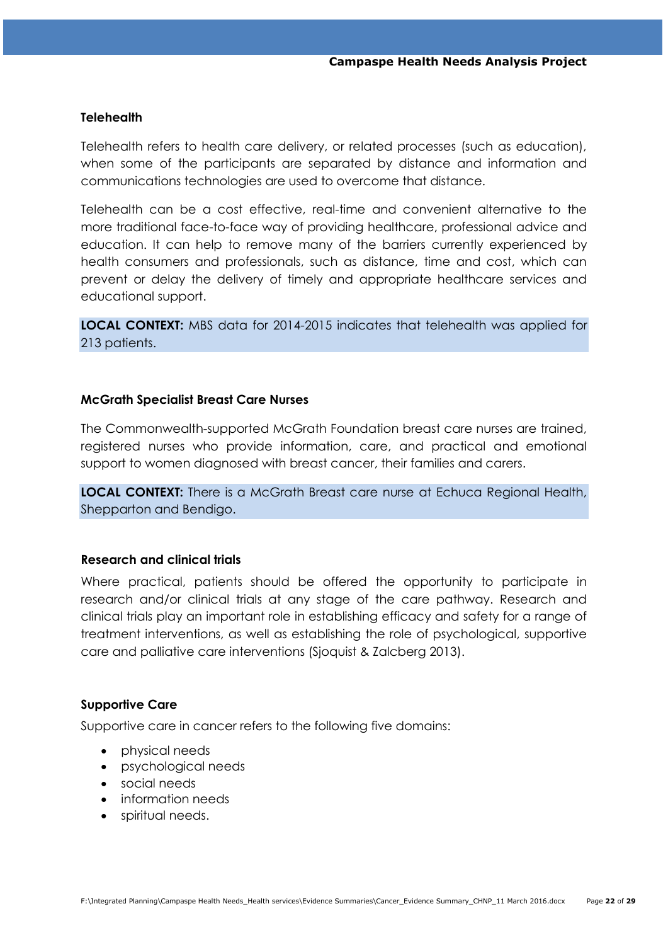### **Telehealth**

Telehealth refers to health care delivery, or related processes (such as education), when some of the participants are separated by distance and information and communications technologies are used to overcome that distance.

Telehealth can be a cost effective, real-time and convenient alternative to the more traditional face-to-face way of providing healthcare, professional advice and education. It can help to remove many of the barriers currently experienced by health consumers and professionals, such as distance, time and cost, which can prevent or delay the delivery of timely and appropriate healthcare services and educational support.

**LOCAL CONTEXT:** MBS data for 2014-2015 indicates that telehealth was applied for 213 patients.

### **McGrath Specialist Breast Care Nurses**

The Commonwealth-supported McGrath Foundation breast care nurses are trained, registered nurses who provide information, care, and practical and emotional support to women diagnosed with breast cancer, their families and carers.

**LOCAL CONTEXT:** There is a McGrath Breast care nurse at Echuca Regional Health, Shepparton and Bendigo.

### **Research and clinical trials**

Where practical, patients should be offered the opportunity to participate in research and/or clinical trials at any stage of the care pathway. Research and clinical trials play an important role in establishing efficacy and safety for a range of treatment interventions, as well as establishing the role of psychological, supportive care and palliative care interventions (Sjoquist & Zalcberg 2013).

#### **Supportive Care**

Supportive care in cancer refers to the following five domains:

- physical needs
- psychological needs
- social needs
- information needs
- spiritual needs.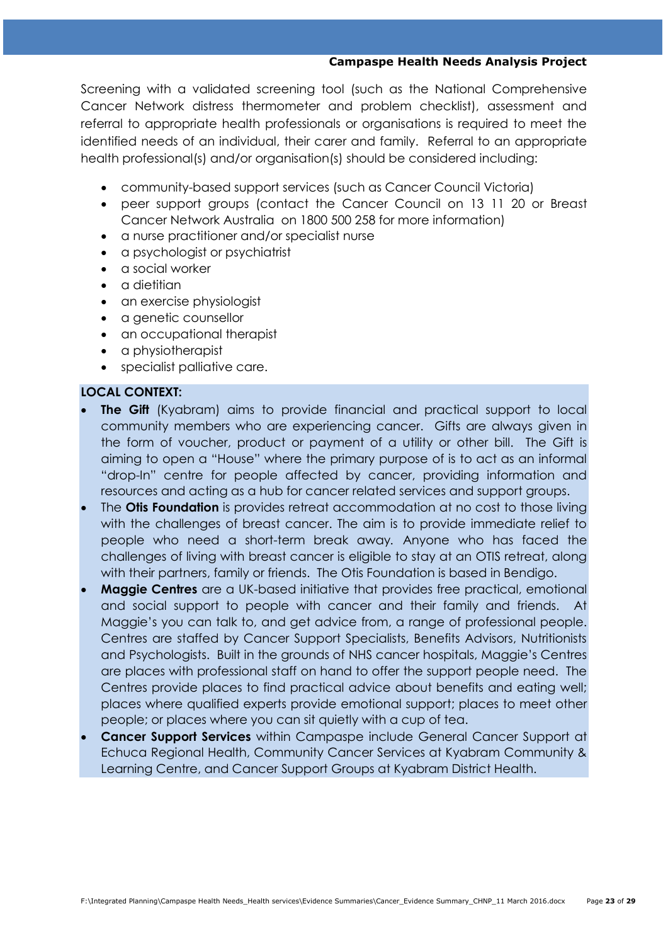Screening with a validated screening tool (such as the National Comprehensive Cancer Network distress thermometer and problem checklist), assessment and referral to appropriate health professionals or organisations is required to meet the identified needs of an individual, their carer and family. Referral to an appropriate health professional(s) and/or organisation(s) should be considered including:

- community-based support services (such as Cancer Council Victoria)
- peer support groups (contact the Cancer Council on 13 11 20 or Breast Cancer Network Australia on 1800 500 258 for more information)
- a nurse practitioner and/or specialist nurse
- a psychologist or psychiatrist
- a social worker
- a dietitian
- an exercise physiologist
- a genetic counsellor
- an occupational therapist
- a physiotherapist
- specialist palliative care.

# **LOCAL CONTEXT:**

- **The Gift** (Kyabram) aims to provide financial and practical support to local community members who are experiencing cancer. Gifts are always given in the form of voucher, product or payment of a utility or other bill. The Gift is aiming to open a "House" where the primary purpose of is to act as an informal "drop-In" centre for people affected by cancer, providing information and resources and acting as a hub for cancer related services and support groups.
- The **Otis Foundation** is provides retreat accommodation at no cost to those living with the challenges of breast cancer. The aim is to provide immediate relief to people who need a short-term break away*.* Anyone who has faced the challenges of living with breast cancer is eligible to stay at an OTIS retreat, along with their partners, family or friends. The Otis Foundation is based in Bendigo.
- **Maggie Centres** are a UK-based initiative that provides free practical, emotional and social support to people with cancer and their family and friends. At Maggie's you can talk to, and get advice from, a range of professional people. Centres are staffed by Cancer Support Specialists, Benefits Advisors, Nutritionists and Psychologists. Built in the grounds of NHS cancer hospitals, Maggie's Centres are places with professional staff on hand to offer the support people need. The Centres provide places to find practical advice about benefits and eating well; places where qualified experts provide emotional support; places to meet other people; or places where you can sit quietly with a cup of tea.
- **Cancer Support Services** within Campaspe include General Cancer Support at Echuca Regional Health, Community Cancer Services at Kyabram Community & Learning Centre, and Cancer Support Groups at Kyabram District Health.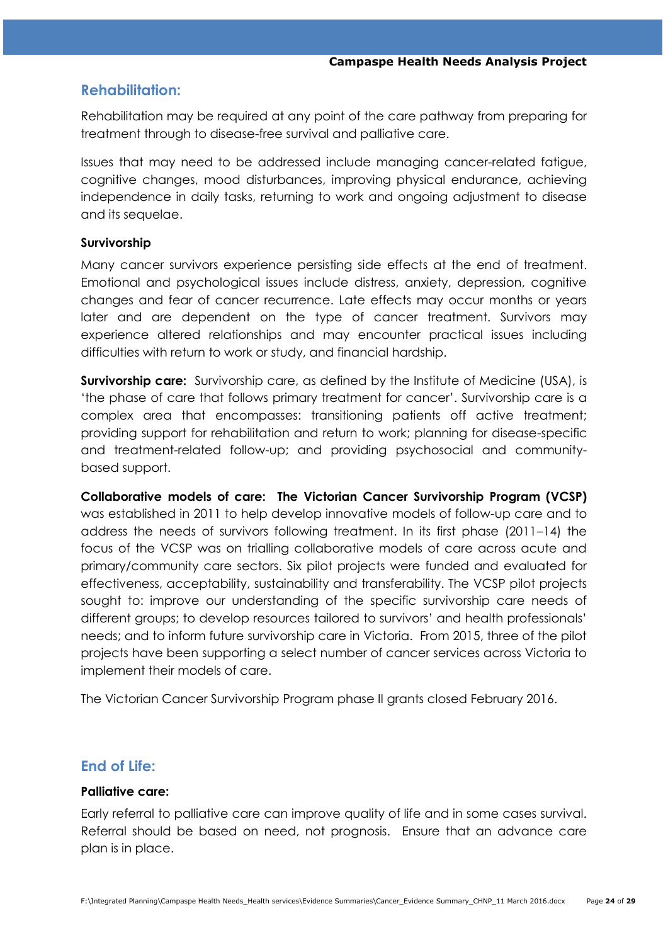# **Rehabilitation:**

Rehabilitation may be required at any point of the care pathway from preparing for treatment through to disease-free survival and palliative care.

Issues that may need to be addressed include managing cancer-related fatigue, cognitive changes, mood disturbances, improving physical endurance, achieving independence in daily tasks, returning to work and ongoing adjustment to disease and its sequelae.

# **Survivorship**

Many cancer survivors experience persisting side effects at the end of treatment. Emotional and psychological issues include distress, anxiety, depression, cognitive changes and fear of cancer recurrence. Late effects may occur months or years later and are dependent on the type of cancer treatment. Survivors may experience altered relationships and may encounter practical issues including difficulties with return to work or study, and financial hardship.

**Survivorship care:** Survivorship care, as defined by the Institute of Medicine (USA), is 'the phase of care that follows primary treatment for cancer'. Survivorship care is a complex area that encompasses: transitioning patients off active treatment; providing support for rehabilitation and return to work; planning for disease-specific and treatment-related follow-up; and providing psychosocial and communitybased support.

**Collaborative models of care: The Victorian Cancer Survivorship Program (VCSP)** was established in 2011 to help develop innovative models of follow-up care and to address the needs of survivors following treatment. In its first phase (2011–14) the focus of the VCSP was on trialling collaborative models of care across acute and primary/community care sectors. Six pilot projects were funded and evaluated for effectiveness, acceptability, sustainability and transferability. The VCSP pilot projects sought to: improve our understanding of the specific survivorship care needs of different groups; to develop resources tailored to survivors' and health professionals' needs; and to inform future survivorship care in Victoria. From 2015, three of the pilot projects have been supporting a select number of cancer services across Victoria to implement their models of care.

The Victorian Cancer Survivorship Program phase II grants closed February 2016.

# **End of Life:**

# **Palliative care:**

Early referral to palliative care can improve quality of life and in some cases survival. Referral should be based on need, not prognosis. Ensure that an advance care plan is in place.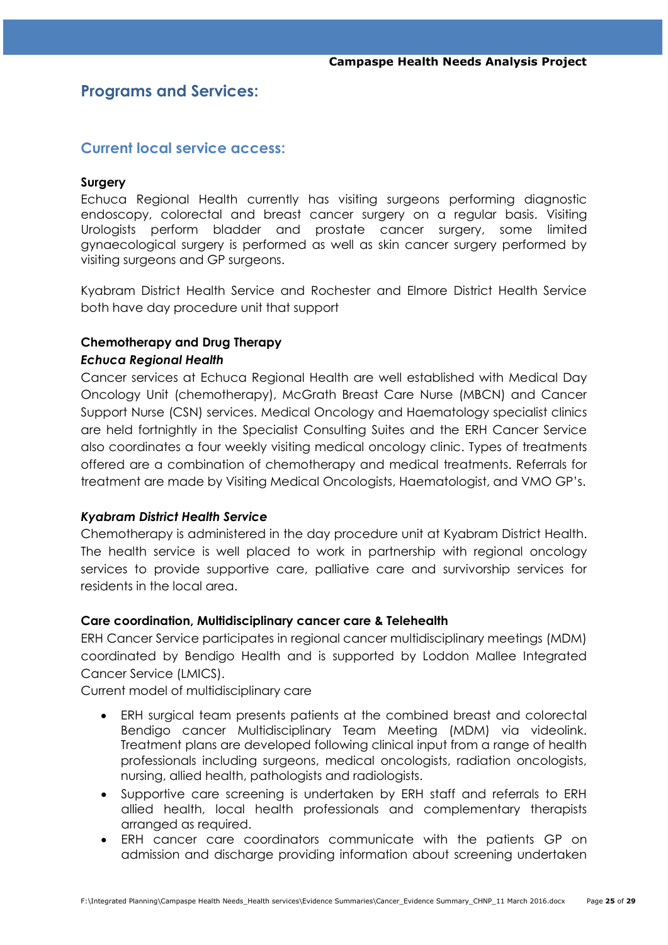# **Programs and Services:**

# **Current local service access:**

### **Surgery**

Echuca Regional Health currently has visiting surgeons performing diagnostic endoscopy, colorectal and breast cancer surgery on a regular basis. Visiting Urologists perform bladder and prostate cancer surgery, some limited gynaecological surgery is performed as well as skin cancer surgery performed by visiting surgeons and GP surgeons.

Kyabram District Health Service and Rochester and Elmore District Health Service both have day procedure unit that support

# **Chemotherapy and Drug Therapy**

### *Echuca Regional Health*

Cancer services at Echuca Regional Health are well established with Medical Day Oncology Unit (chemotherapy), McGrath Breast Care Nurse (MBCN) and Cancer Support Nurse (CSN) services. Medical Oncology and Haematology specialist clinics are held fortnightly in the Specialist Consulting Suites and the ERH Cancer Service also coordinates a four weekly visiting medical oncology clinic. Types of treatments offered are a combination of chemotherapy and medical treatments. Referrals for treatment are made by Visiting Medical Oncologists, Haematologist, and VMO GP's.

# *Kyabram District Health Service*

Chemotherapy is administered in the day procedure unit at Kyabram District Health. The health service is well placed to work in partnership with regional oncology services to provide supportive care, palliative care and survivorship services for residents in the local area.

# **Care coordination, Multidisciplinary cancer care & Telehealth**

ERH Cancer Service participates in regional cancer multidisciplinary meetings (MDM) coordinated by Bendigo Health and is supported by Loddon Mallee Integrated Cancer Service (LMICS).

Current model of multidisciplinary care

- ERH surgical team presents patients at the combined breast and colorectal Bendigo cancer Multidisciplinary Team Meeting (MDM) via videolink. Treatment plans are developed following clinical input from a range of health professionals including surgeons, medical oncologists, radiation oncologists, nursing, allied health, pathologists and radiologists.
- Supportive care screening is undertaken by ERH staff and referrals to ERH allied health, local health professionals and complementary therapists arranged as required.
- ERH cancer care coordinators communicate with the patients GP on admission and discharge providing information about screening undertaken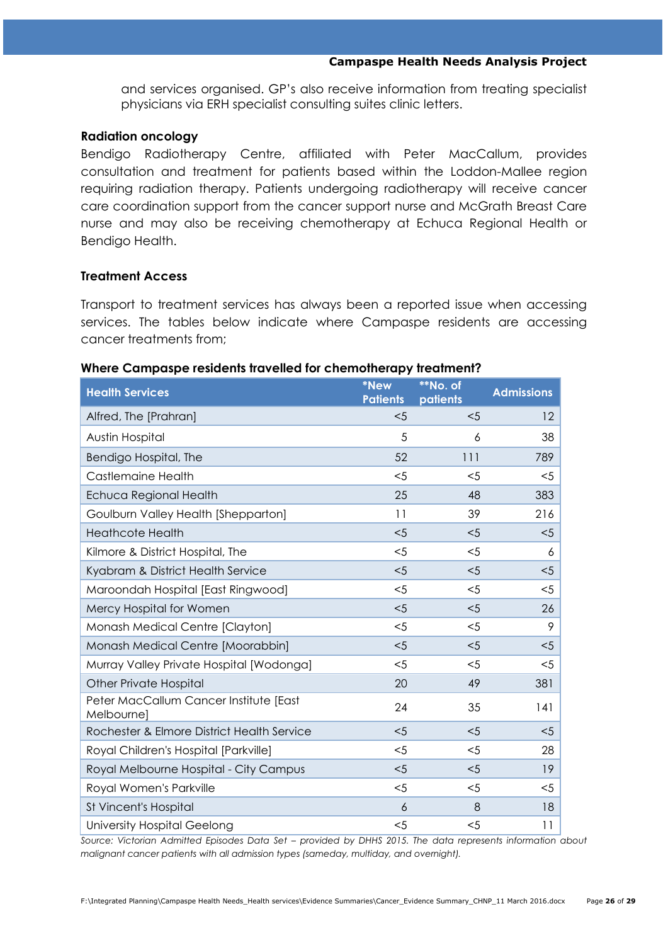and services organised. GP's also receive information from treating specialist physicians via ERH specialist consulting suites clinic letters.

### **Radiation oncology**

Bendigo Radiotherapy Centre, affiliated with Peter MacCallum, provides consultation and treatment for patients based within the Loddon-Mallee region requiring radiation therapy. Patients undergoing radiotherapy will receive cancer care coordination support from the cancer support nurse and McGrath Breast Care nurse and may also be receiving chemotherapy at Echuca Regional Health or Bendigo Health.

# **Treatment Access**

Transport to treatment services has always been a reported issue when accessing services. The tables below indicate where Campaspe residents are accessing cancer treatments from;

# **Health Services \*New Patients \*\*No. of patients Admissions** Alfred, The [Prahran]  $\leq$  12 Austin Hospital 5 6 38 Bendigo Hospital, The 52 111 789 Castlemaine Health <5 <5 <5 Echuca Regional Health 25 48 383 Goulburn Valley Health [Shepparton] 11 39 216 Heathcote Health <5 <5 <5 Kilmore & District Hospital, The  $\sim$  5  $\sim$  5 6 6 Kyabram & District Health Service  $\leq$   $\leq$   $\leq$   $\leq$   $\leq$   $\leq$   $\leq$   $\leq$   $\leq$   $\leq$   $\leq$   $\leq$   $\leq$   $\leq$   $\leq$   $\leq$   $\leq$   $\leq$   $\leq$   $\leq$   $\leq$   $\leq$   $\leq$   $\leq$   $\leq$   $\leq$   $\leq$   $\leq$   $\leq$   $\leq$   $\leq$   $\$

### **Where Campaspe residents travelled for chemotherapy treatment?**

| $5$   | $5$   | $5$   |
|-------|-------|-------|
| <5    | $<$ 5 | $5$   |
| 20    | 49    | 381   |
| 24    | 35    | 141   |
| $<$ 5 | < 5   | < 5   |
| $<$ 5 | $<$ 5 | 28    |
| $<$ 5 | $5$   | 19    |
| $<$ 5 | $<$ 5 | $<$ 5 |
| 6     | 8     | 18    |
| $<$ 5 | $<$ 5 | 11    |
|       |       |       |

Maroondah Hospital [East Ringwood] <5 <5 <5 Mercy Hospital for Women  $\leq$   $\leq$   $\leq$   $\leq$  26 Monash Medical Centre [Clayton] <5 <5 9

*Source: Victorian Admitted Episodes Data Set – provided by DHHS 2015. The data represents information about malignant cancer patients with all admission types (sameday, multiday, and overnight).*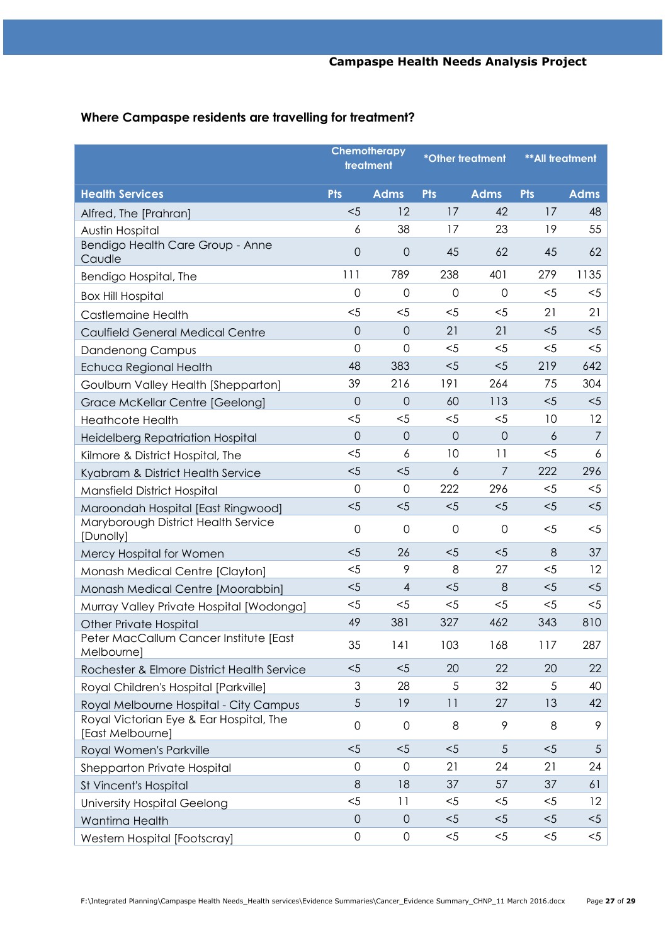# **Where Campaspe residents are travelling for treatment?**

|                                                             | Chemotherapy<br>treatment |                     | *Other treatment |             | <b>**All treatment</b> |                |
|-------------------------------------------------------------|---------------------------|---------------------|------------------|-------------|------------------------|----------------|
| <b>Health Services</b>                                      | <b>Pts</b>                | <b>Adms</b>         | <b>Pts</b>       | <b>Adms</b> | <b>Pts</b>             | <b>Adms</b>    |
| Alfred, The [Prahran]                                       | < 5                       | 12                  | 17               | 42          | 17                     | 48             |
| Austin Hospital                                             | 6                         | 38                  | 17               | 23          | 19                     | 55             |
| Bendigo Health Care Group - Anne<br>Caudle                  | $\overline{O}$            | $\overline{0}$      | 45               | 62          | 45                     | 62             |
| Bendigo Hospital, The                                       | 111                       | 789                 | 238              | 401         | 279                    | 1135           |
| <b>Box Hill Hospital</b>                                    | $\mathbf 0$               | $\mathbf 0$         | $\overline{0}$   | $\mathbf 0$ | $<$ 5                  | $<$ 5          |
| <b>Castlemaine Health</b>                                   | $5$                       | $5$                 | $5$              | $5$         | 21                     | 21             |
| Caulfield General Medical Centre                            | $\overline{O}$            | $\theta$            | 21               | 21          | $<$ 5                  | $5$            |
| Dandenong Campus                                            | $\overline{0}$            | $\overline{0}$      | $5$              | $<$ 5       | $<$ 5                  | $<$ 5          |
| Echuca Regional Health                                      | 48                        | 383                 | $5$              | $5$         | 219                    | 642            |
| Goulburn Valley Health [Shepparton]                         | 39                        | 216                 | 191              | 264         | 75                     | 304            |
| Grace McKellar Centre [Geelong]                             | $\overline{O}$            | $\overline{0}$      | 60               | 113         | $<$ 5                  | $<$ 5          |
| <b>Heathcote Health</b>                                     | $5$                       | $<$ 5               | $<$ 5            | $5$         | 10                     | 12             |
| Heidelberg Repatriation Hospital                            | $\overline{O}$            | $\mathsf{O}\xspace$ | $\overline{0}$   | $\mathbf 0$ | 6                      | $\overline{7}$ |
| Kilmore & District Hospital, The                            | $5$                       | 6                   | 10               | 11          | $<$ 5                  | 6              |
| Kyabram & District Health Service                           | $5$                       | $5$                 | $\overline{6}$   | 7           | 222                    | 296            |
| Mansfield District Hospital                                 | $\mathbf 0$               | $\mathbf 0$         | 222              | 296         | $<$ 5                  | $5$            |
| Maroondah Hospital [East Ringwood]                          | < 5                       | $5$                 | $5$              | $5$         | $5$                    | $5$            |
| Maryborough District Health Service<br>[Dunolly]            | $\mathsf{O}\xspace$       | $\mathbf 0$         | $\mathbf 0$      | $\mathbf 0$ | $<$ 5                  | $<$ 5          |
| Mercy Hospital for Women                                    | < 5                       | 26                  | $5$              | $5$         | 8                      | 37             |
| Monash Medical Centre [Clayton]                             | $5$                       | 9                   | 8                | 27          | $<$ 5                  | 12             |
| Monash Medical Centre [Moorabbin]                           | $5$                       | 4                   | $5$              | 8           | $<$ 5                  | $5$            |
| Murray Valley Private Hospital [Wodonga]                    | $5$                       | $<$ 5               | $<$ 5            | $5$         | $<$ 5                  | $<$ 5          |
| <b>Other Private Hospital</b>                               | 49                        | 381                 | 327              | 462         | 343                    | 810            |
| Peter MacCallum Cancer Institute [East<br>Melbourne]        | 35                        | 141                 | 103              | 168         | 117                    | 287            |
| Rochester & Elmore District Health Service                  | $5$                       | $<$ 5               | 20               | 22          | 20                     | 22             |
| Royal Children's Hospital [Parkville]                       | 3                         | 28                  | 5                | 32          | 5                      | 40             |
| Royal Melbourne Hospital - City Campus                      | 5                         | 19                  | 11               | 27          | 13                     | 42             |
| Royal Victorian Eye & Ear Hospital, The<br>[East Melbourne] | $\mathsf{O}\xspace$       | $\mathsf{O}$        | 8                | 9           | 8                      | 9              |
| Royal Women's Parkville                                     | < 5                       | < 5                 | $5$              | 5           | $<$ 5                  | $\sqrt{5}$     |
| Shepparton Private Hospital                                 | 0                         | $\mathsf{O}\xspace$ | 21               | 24          | 21                     | 24             |
| St Vincent's Hospital                                       | 8                         | 18                  | 37               | 57          | 37                     | 61             |
| <b>University Hospital Geelong</b>                          | $<$ 5                     | 11                  | $5$              | $<$ 5       | $<$ 5                  | 12             |
| Wantirna Health                                             | $\mathbf 0$               | $\overline{O}$      | $<$ 5            | $5$         | $<$ 5                  | $<$ 5          |
| Western Hospital [Footscray]                                | $\mathsf{O}\xspace$       | $\mathbf 0$         | $<$ 5            | $<$ 5       | $<$ 5                  | $<$ 5          |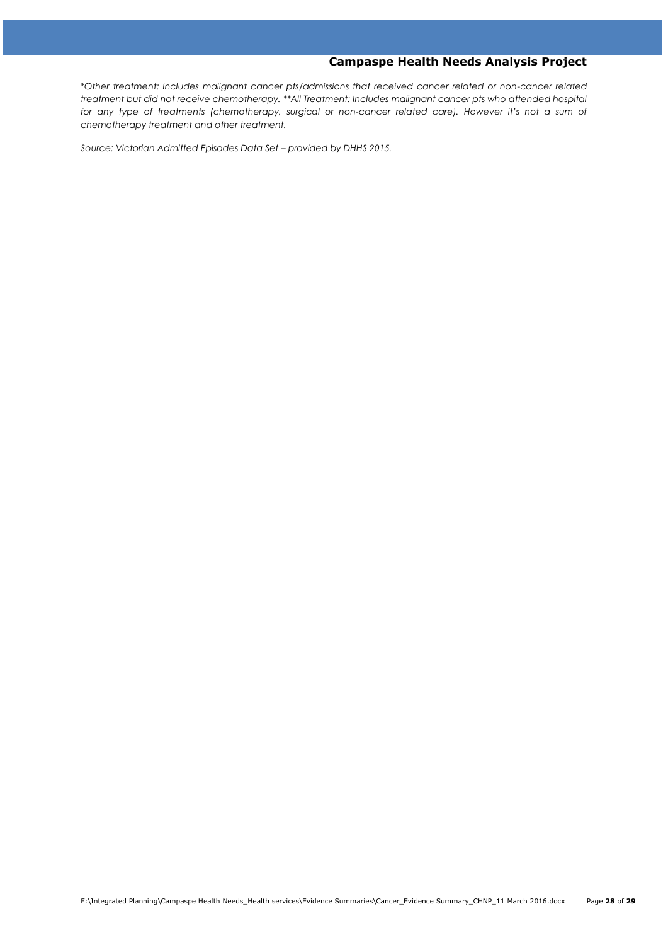*\*Other treatment: Includes malignant cancer pts/admissions that received cancer related or non-cancer related treatment but did not receive chemotherapy. \*\*All Treatment: Includes malignant cancer pts who attended hospital for any type of treatments (chemotherapy, surgical or non-cancer related care). However it's not a sum of chemotherapy treatment and other treatment.* 

*Source: Victorian Admitted Episodes Data Set – provided by DHHS 2015.*